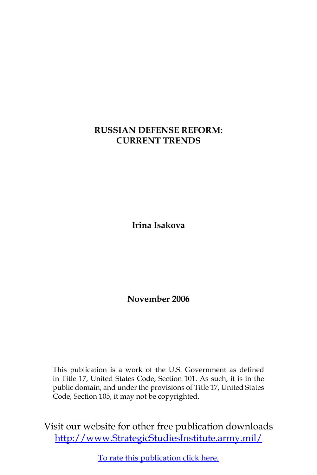# **RUSSIAN DEFENSE REFORM: CURRENT TRENDS**

**Irina Isakova**

**November 2006**

This publication is a work of the U.S. Government as defined in Title 17, United States Code, Section 101. As such, it is in the public domain, and under the provisions of Title 17, United States Code, Section 105, it may not be copyrighted.

Visit our website for other free publication downloads [http://www.StrategicStudiesInstitute.army.mil/](http://www.StrategicStudiesInstitute.army.mil)

[To rate this publication click here.](http://www.strategicstudiesinstitute.army.mil/pubs/display.cfm?pubID=740)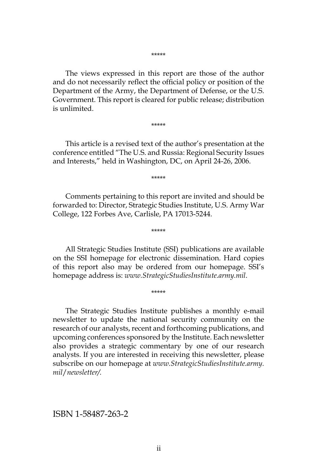\*\*\*\*\*

The views expressed in this report are those of the author and do not necessarily reflect the official policy or position of the Department of the Army, the Department of Defense, or the U.S. Government. This report is cleared for public release; distribution is unlimited.

\*\*\*\*\*

This article is a revised text of the author's presentation at the conference entitled "The U.S. and Russia: Regional Security Issues and Interests," held in Washington, DC, on April 24-26, 2006.

\*\*\*\*\*

Comments pertaining to this report are invited and should be forwarded to: Director, Strategic Studies Institute, U.S. Army War College, 122 Forbes Ave, Carlisle, PA 17013-5244.

\*\*\*\*\*

All Strategic Studies Institute (SSI) publications are available on the SSI homepage for electronic dissemination. Hard copies of this report also may be ordered from our homepage. SSI's homepage address is: *www.StrategicStudiesInstitute.army.mil*.

\*\*\*\*\*

The Strategic Studies Institute publishes a monthly e-mail newsletter to update the national security community on the research of our analysts, recent and forthcoming publications, and upcoming conferences sponsored by the Institute. Each newsletter also provides a strategic commentary by one of our research analysts. If you are interested in receiving this newsletter, please subscribe on our homepage at *www.StrategicStudiesInstitute.army. mil*/*newsletter/.*

ISBN 1-58487-263-2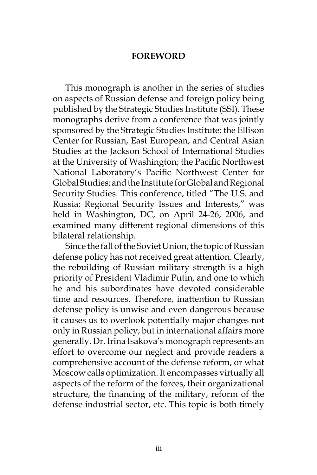#### **FOREWORD**

This monograph is another in the series of studies on aspects of Russian defense and foreign policy being published by the Strategic Studies Institute (SSI). These monographs derive from a conference that was jointly sponsored by the Strategic Studies Institute; the Ellison Center for Russian, East European, and Central Asian Studies at the Jackson School of International Studies at the University of Washington; the Pacific Northwest National Laboratory's Pacific Northwest Center for Global Studies; and the Institute for Global and Regional Security Studies. This conference, titled "The U.S. and Russia: Regional Security Issues and Interests," was held in Washington, DC, on April 24-26, 2006, and examined many different regional dimensions of this bilateral relationship.

Since the fall of the Soviet Union, the topic of Russian defense policy has not received great attention. Clearly, the rebuilding of Russian military strength is a high priority of President Vladimir Putin, and one to which he and his subordinates have devoted considerable time and resources. Therefore, inattention to Russian defense policy is unwise and even dangerous because it causes us to overlook potentially major changes not only in Russian policy, but in international affairs more generally. Dr. Irina Isakova's monograph represents an effort to overcome our neglect and provide readers a comprehensive account of the defense reform, or what Moscow calls optimization. It encompasses virtually all aspects of the reform of the forces, their organizational structure, the financing of the military, reform of the defense industrial sector, etc. This topic is both timely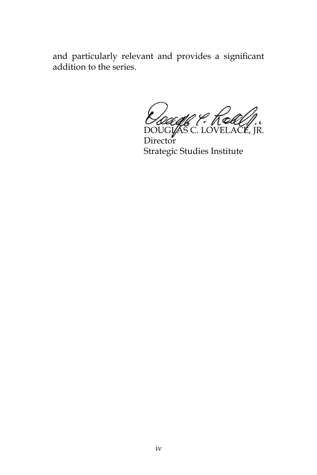and particularly relevant and provides a significant addition to the series.

DOUGLAS C. LOVELACE, JR.

**Director** Strategic Studies Institute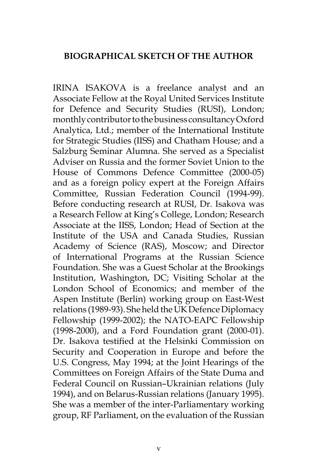### **BIOGRAPHICAL SKETCH OF THE AUTHOR**

IRINA ISAKOVA is a freelance analyst and an Associate Fellow at the Royal United Services Institute for Defence and Security Studies (RUSI), London; monthly contributor to the business consultancy Oxford Analytica, Ltd.; member of the International Institute for Strategic Studies (IISS) and Chatham House; and a Salzburg Seminar Alumna. She served as a Specialist Adviser on Russia and the former Soviet Union to the House of Commons Defence Committee (2000-05) and as a foreign policy expert at the Foreign Affairs Committee, Russian Federation Council (1994-99). Before conducting research at RUSI, Dr. Isakova was a Research Fellow at King's College, London; Research Associate at the IISS, London; Head of Section at the Institute of the USA and Canada Studies, Russian Academy of Science (RAS), Moscow; and Director of International Programs at the Russian Science Foundation. She was a Guest Scholar at the Brookings Institution, Washington, DC; Visiting Scholar at the London School of Economics; and member of the Aspen Institute (Berlin) working group on East-West relations (1989-93). She held the UK Defence Diplomacy Fellowship (1999-2002); the NATO-EAPC Fellowship (1998-2000), and a Ford Foundation grant (2000-01). Dr. Isakova testified at the Helsinki Commission on Security and Cooperation in Europe and before the U.S. Congress, May 1994; at the Joint Hearings of the Committees on Foreign Affairs of the State Duma and Federal Council on Russian–Ukrainian relations (July 1994), and on Belarus-Russian relations (January 1995). She was a member of the inter-Parliamentary working group, RF Parliament, on the evaluation of the Russian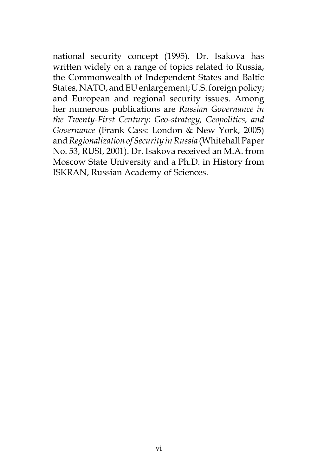national security concept (1995). Dr. Isakova has written widely on a range of topics related to Russia, the Commonwealth of Independent States and Baltic States, NATO, and EU enlargement; U.S. foreign policy; and European and regional security issues. Among her numerous publications are *Russian Governance in the Twenty-First Century: Geo-strategy, Geopolitics, and Governance* (Frank Cass: London & New York, 2005) and *Regionalization of Security in Russia* (Whitehall Paper No. 53, RUSI, 2001). Dr. Isakova received an M.A. from Moscow State University and a Ph.D. in History from ISKRAN, Russian Academy of Sciences.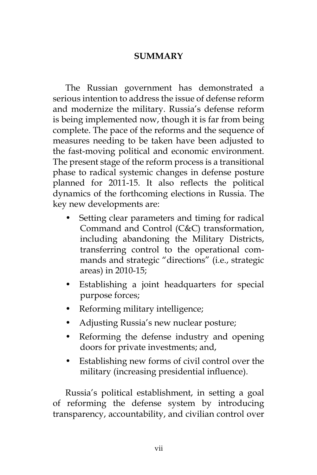### **SUMMARY**

The Russian government has demonstrated a serious intention to address the issue of defense reform and modernize the military. Russia's defense reform is being implemented now, though it is far from being complete. The pace of the reforms and the sequence of measures needing to be taken have been adjusted to the fast-moving political and economic environment. The present stage of the reform process is a transitional phase to radical systemic changes in defense posture planned for 2011-15. It also reflects the political dynamics of the forthcoming elections in Russia. The key new developments are:

- Setting clear parameters and timing for radical Command and Control (C&C) transformation, including abandoning the Military Districts, transferring control to the operational commands and strategic "directions" (i.e., strategic areas) in 2010-15;
- Establishing a joint headquarters for special purpose forces;
- Reforming military intelligence;
- Adjusting Russia's new nuclear posture;
- Reforming the defense industry and opening doors for private investments; and,
- Establishing new forms of civil control over the military (increasing presidential influence).

Russia's political establishment, in setting a goal of reforming the defense system by introducing transparency, accountability, and civilian control over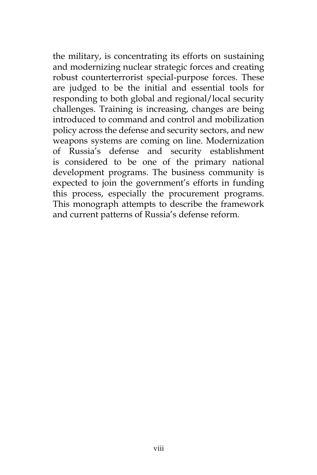the military, is concentrating its efforts on sustaining and modernizing nuclear strategic forces and creating robust counterterrorist special-purpose forces. These are judged to be the initial and essential tools for responding to both global and regional/local security challenges. Training is increasing, changes are being introduced to command and control and mobilization policy across the defense and security sectors, and new weapons systems are coming on line. Modernization of Russia's defense and security establishment is considered to be one of the primary national development programs. The business community is expected to join the government's efforts in funding this process, especially the procurement programs. This monograph attempts to describe the framework and current patterns of Russia's defense reform.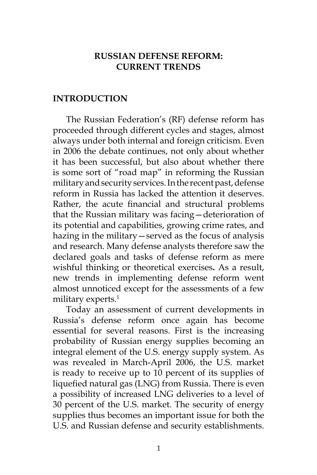### **RUSSIAN DEFENSE REFORM: CURRENT TRENDS**

### **INTRODUCTION**

The Russian Federation's (RF) defense reform has proceeded through different cycles and stages, almost always under both internal and foreign criticism. Even in 2006 the debate continues, not only about whether it has been successful, but also about whether there is some sort of "road map" in reforming the Russian military and security services. In the recent past, defense reform in Russia has lacked the attention it deserves. Rather, the acute financial and structural problems that the Russian military was facing—deterioration of its potential and capabilities, growing crime rates, and hazing in the military—served as the focus of analysis and research. Many defense analysts therefore saw the declared goals and tasks of defense reform as mere wishful thinking or theoretical exercises**.** As a result, new trends in implementing defense reform went almost unnoticed except for the assessments of a few military experts.<sup>1</sup>

Today an assessment of current developments in Russia's defense reform once again has become essential for several reasons. First is the increasing probability of Russian energy supplies becoming an integral element of the U.S. energy supply system. As was revealed in March-April 2006, the U.S. market is ready to receive up to 10 percent of its supplies of liquefied natural gas (LNG) from Russia. There is even a possibility of increased LNG deliveries to a level of 30 percent of the U.S. market. The security of energy supplies thus becomes an important issue for both the U.S. and Russian defense and security establishments.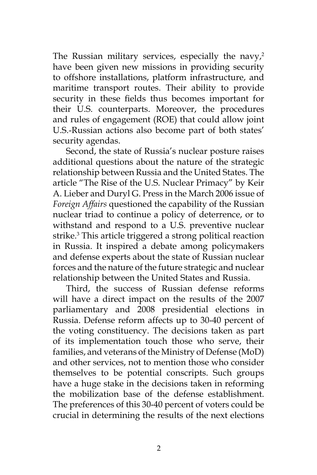The Russian military services, especially the navy,<sup>2</sup> have been given new missions in providing security to offshore installations, platform infrastructure, and maritime transport routes. Their ability to provide security in these fields thus becomes important for their U.S. counterparts. Moreover, the procedures and rules of engagement (ROE) that could allow joint U.S.-Russian actions also become part of both states' security agendas.

Second, the state of Russia's nuclear posture raises additional questions about the nature of the strategic relationship between Russia and the United States. The article "The Rise of the U.S. Nuclear Primacy" by Keir A. Lieber and Duryl G. Press in the March 2006 issue of *Foreign Affairs* questioned the capability of the Russian nuclear triad to continue a policy of deterrence, or to withstand and respond to a U.S. preventive nuclear strike.<sup>3</sup> This article triggered a strong political reaction in Russia. It inspired a debate among policymakers and defense experts about the state of Russian nuclear forces and the nature of the future strategic and nuclear relationship between the United States and Russia.

Third, the success of Russian defense reforms will have a direct impact on the results of the 2007 parliamentary and 2008 presidential elections in Russia. Defense reform affects up to 30-40 percent of the voting constituency. The decisions taken as part of its implementation touch those who serve, their families, and veterans of the Ministry of Defense (MoD) and other services, not to mention those who consider themselves to be potential conscripts. Such groups have a huge stake in the decisions taken in reforming the mobilization base of the defense establishment. The preferences of this 30-40 percent of voters could be crucial in determining the results of the next elections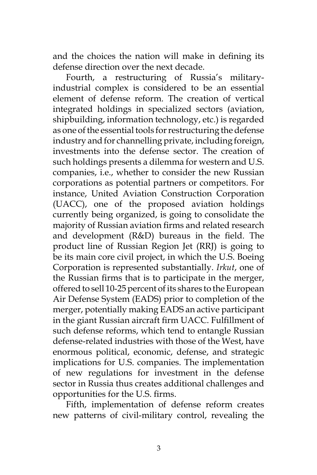and the choices the nation will make in defining its defense direction over the next decade.

Fourth, a restructuring of Russia's militaryindustrial complex is considered to be an essential element of defense reform. The creation of vertical integrated holdings in specialized sectors (aviation, shipbuilding, information technology, etc.) is regarded as one of the essential tools for restructuring the defense industry and for channelling private, including foreign, investments into the defense sector. The creation of such holdings presents a dilemma for western and U.S. companies, i.e., whether to consider the new Russian corporations as potential partners or competitors. For instance, United Aviation Construction Corporation (UACC), one of the proposed aviation holdings currently being organized, is going to consolidate the majority of Russian aviation firms and related research and development (R&D) bureaus in the field. The product line of Russian Region Jet (RRJ) is going to be its main core civil project, in which the U.S. Boeing Corporation is represented substantially. *Irkut*, one of the Russian firms that is to participate in the merger, offered to sell 10-25 percent of its shares to the European Air Defense System (EADS) prior to completion of the merger, potentially making EADS an active participant in the giant Russian aircraft firm UACC. Fulfillment of such defense reforms, which tend to entangle Russian defense-related industries with those of the West, have enormous political, economic, defense, and strategic implications for U.S. companies. The implementation of new regulations for investment in the defense sector in Russia thus creates additional challenges and opportunities for the U.S. firms.

Fifth, implementation of defense reform creates new patterns of civil-military control, revealing the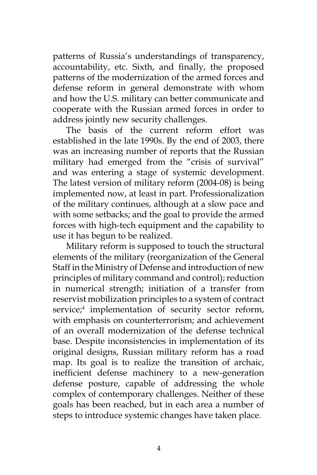patterns of Russia's understandings of transparency, accountability, etc. Sixth, and finally, the proposed patterns of the modernization of the armed forces and defense reform in general demonstrate with whom and how the U.S. military can better communicate and cooperate with the Russian armed forces in order to address jointly new security challenges.

The basis of the current reform effort was established in the late 1990s. By the end of 2003, there was an increasing number of reports that the Russian military had emerged from the "crisis of survival" and was entering a stage of systemic development. The latest version of military reform (2004-08) is being implemented now, at least in part. Professionalization of the military continues, although at a slow pace and with some setbacks; and the goal to provide the armed forces with high-tech equipment and the capability to use it has begun to be realized.

Military reform is supposed to touch the structural elements of the military (reorganization of the General Staff in the Ministry of Defense and introduction of new principles of military command and control); reduction in numerical strength; initiation of a transfer from reservist mobilization principles to a system of contract service;<sup>4</sup> implementation of security sector reform, with emphasis on counterterrorism; and achievement of an overall modernization of the defense technical base. Despite inconsistencies in implementation of its original designs, Russian military reform has a road map. Its goal is to realize the transition of archaic, inefficient defense machinery to a new-generation defense posture, capable of addressing the whole complex of contemporary challenges. Neither of these goals has been reached, but in each area a number of steps to introduce systemic changes have taken place.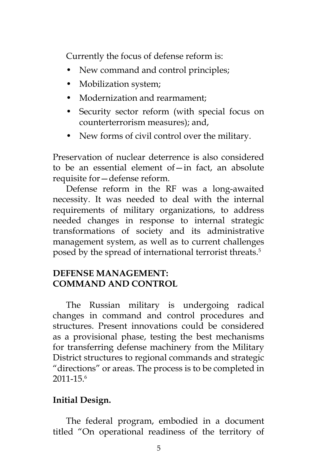Currently the focus of defense reform is:

- New command and control principles;
- Mobilization system;
- Modernization and rearmament:
- Security sector reform (with special focus on counterterrorism measures); and,
- New forms of civil control over the military.

Preservation of nuclear deterrence is also considered to be an essential element of—in fact, an absolute requisite for—defense reform.

Defense reform in the RF was a long-awaited necessity. It was needed to deal with the internal requirements of military organizations, to address needed changes in response to internal strategic transformations of society and its administrative management system, as well as to current challenges posed by the spread of international terrorist threats.<sup>5</sup>

# **DEFENSE MANAGEMENT: COMMAND AND CONTROL**

The Russian military is undergoing radical changes in command and control procedures and structures. Present innovations could be considered as a provisional phase, testing the best mechanisms for transferring defense machinery from the Military District structures to regional commands and strategic "directions" or areas. The process is to be completed in 2011-15.6

# **Initial Design.**

The federal program, embodied in a document titled "On operational readiness of the territory of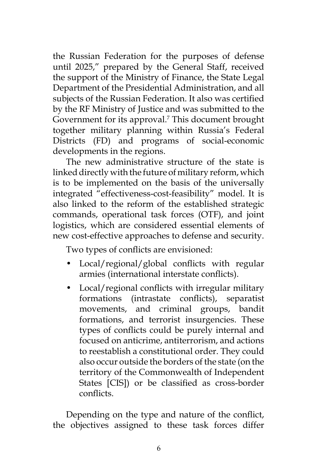the Russian Federation for the purposes of defense until 2025," prepared by the General Staff, received the support of the Ministry of Finance, the State Legal Department of the Presidential Administration, and all subjects of the Russian Federation. It also was certified by the RF Ministry of Justice and was submitted to the Government for its approval.<sup>7</sup> This document brought together military planning within Russia's Federal Districts (FD) and programs of social-economic developments in the regions.

The new administrative structure of the state is linked directly with the future of military reform, which is to be implemented on the basis of the universally integrated "effectiveness-cost-feasibility" model. It is also linked to the reform of the established strategic commands, operational task forces (OTF), and joint logistics, which are considered essential elements of new cost-effective approaches to defense and security.

Two types of conflicts are envisioned:

- Local/regional/global conflicts with regular armies (international interstate conflicts).
- Local/regional conflicts with irregular military formations (intrastate conflicts), separatist movements, and criminal groups, bandit formations, and terrorist insurgencies. These types of conflicts could be purely internal and focused on anticrime, antiterrorism, and actions to reestablish a constitutional order. They could also occur outside the borders of the state (on the territory of the Commonwealth of Independent States [CIS]) or be classified as cross-border conflicts.

Depending on the type and nature of the conflict, the objectives assigned to these task forces differ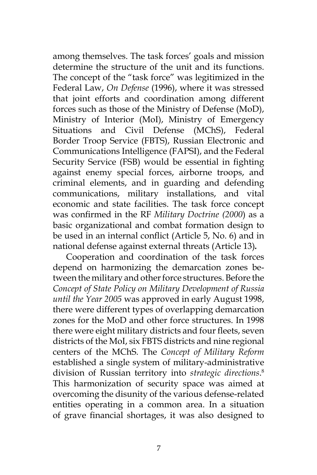among themselves. The task forces' goals and mission determine the structure of the unit and its functions. The concept of the "task force" was legitimized in the Federal Law, *On Defense* (1996), where it was stressed that joint efforts and coordination among different forces such as those of the Ministry of Defense (MoD), Ministry of Interior (MoI), Ministry of Emergency Situations and Civil Defense (MChS), Federal Border Troop Service (FBTS), Russian Electronic and Communications Intelligence (FAPSI), and the Federal Security Service (FSB) would be essential in fighting against enemy special forces, airborne troops, and criminal elements, and in guarding and defending communications, military installations, and vital economic and state facilities. The task force concept was confirmed in the RF *Military Doctrine (2000*) as a basic organizational and combat formation design to be used in an internal conflict (Article 5, No. 6) and in national defense against external threats (Article 13)*.*

Cooperation and coordination of the task forces depend on harmonizing the demarcation zones between the military and other force structures. Before the *Concept of State Policy on Military Development of Russia until the Year 2005* was approved in early August 1998, there were different types of overlapping demarcation zones for the MoD and other force structures. In 1998 there were eight military districts and four fleets, seven districts of the MoI, six FBTS districts and nine regional centers of the MChS. The *Concept of Military Reform* established a single system of military-administrative division of Russian territory into *strategic directions*. 8 This harmonization of security space was aimed at overcoming the disunity of the various defense-related entities operating in a common area. In a situation of grave financial shortages, it was also designed to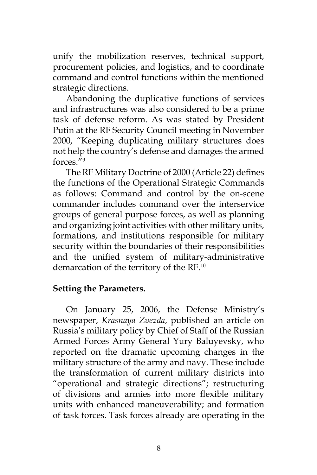unify the mobilization reserves, technical support, procurement policies, and logistics, and to coordinate command and control functions within the mentioned strategic directions.

Abandoning the duplicative functions of services and infrastructures was also considered to be a prime task of defense reform. As was stated by President Putin at the RF Security Council meeting in November 2000, "Keeping duplicating military structures does not help the country's defense and damages the armed forces."9

The RF Military Doctrine of 2000 (Article 22) defines the functions of the Operational Strategic Commands as follows: Command and control by the on-scene commander includes command over the interservice groups of general purpose forces, as well as planning and organizing joint activities with other military units, formations, and institutions responsible for military security within the boundaries of their responsibilities and the unified system of military-administrative demarcation of the territory of the RF.10

### **Setting the Parameters.**

On January 25, 2006, the Defense Ministry's newspaper, *Krasnaya Zvezda*, published an article on Russia's military policy by Chief of Staff of the Russian Armed Forces Army General Yury Baluyevsky, who reported on the dramatic upcoming changes in the military structure of the army and navy. These include the transformation of current military districts into "operational and strategic directions"; restructuring of divisions and armies into more flexible military units with enhanced maneuverability; and formation of task forces. Task forces already are operating in the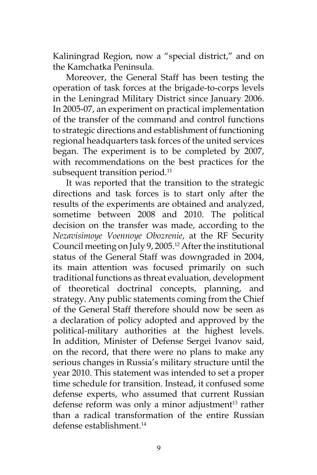Kaliningrad Region, now a "special district," and on the Kamchatka Peninsula.

Moreover, the General Staff has been testing the operation of task forces at the brigade-to-corps levels in the Leningrad Military District since January 2006. In 2005-07, an experiment on practical implementation of the transfer of the command and control functions to strategic directions and establishment of functioning regional headquarters task forces of the united services began. The experiment is to be completed by 2007, with recommendations on the best practices for the subsequent transition period.<sup>11</sup>

It was reported that the transition to the strategic directions and task forces is to start only after the results of the experiments are obtained and analyzed, sometime between 2008 and 2010. The political decision on the transfer was made, according to the *Nezavisimoye Voennoye Obozrenie*, at the RF Security Council meeting on July 9, 2005.12 After the institutional status of the General Staff was downgraded in 2004, its main attention was focused primarily on such traditional functions as threat evaluation, development of theoretical doctrinal concepts, planning, and strategy. Any public statements coming from the Chief of the General Staff therefore should now be seen as a declaration of policy adopted and approved by the political-military authorities at the highest levels. In addition, Minister of Defense Sergei Ivanov said, on the record, that there were no plans to make any serious changes in Russia's military structure until the year 2010. This statement was intended to set a proper time schedule for transition. Instead, it confused some defense experts, who assumed that current Russian defense reform was only a minor adjustment<sup>13</sup> rather than a radical transformation of the entire Russian defense establishment.14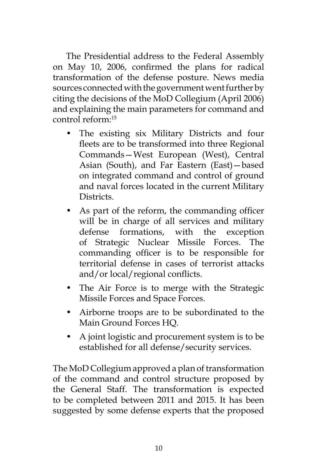The Presidential address to the Federal Assembly on May 10, 2006, confirmed the plans for radical transformation of the defense posture. News media sources connected with the government went further by citing the decisions of the MoD Collegium (April 2006) and explaining the main parameters for command and control reform:15

- The existing six Military Districts and four fleets are to be transformed into three Regional Commands—West European (West), Central Asian (South), and Far Eastern (East)—based on integrated command and control of ground and naval forces located in the current Military Districts.
- As part of the reform, the commanding officer will be in charge of all services and military defense formations, with the exception of Strategic Nuclear Missile Forces. The commanding officer is to be responsible for territorial defense in cases of terrorist attacks and/or local/regional conflicts.
- The Air Force is to merge with the Strategic Missile Forces and Space Forces.
- Airborne troops are to be subordinated to the Main Ground Forces HQ.
- A joint logistic and procurement system is to be established for all defense/security services.

The MoD Collegium approved a plan of transformation of the command and control structure proposed by the General Staff. The transformation is expected to be completed between 2011 and 2015. It has been suggested by some defense experts that the proposed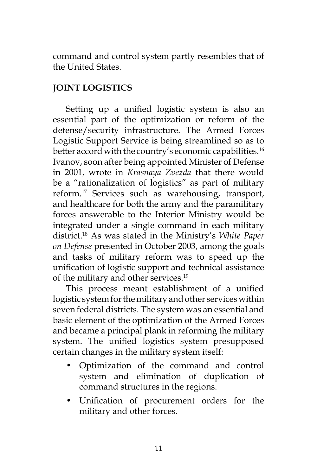command and control system partly resembles that of the United States.

# **JOINT LOGISTICS**

Setting up a unified logistic system is also an essential part of the optimization or reform of the defense/security infrastructure. The Armed Forces Logistic Support Service is being streamlined so as to better accord with the country's economic capabilities.<sup>16</sup> Ivanov, soon after being appointed Minister of Defense in 2001, wrote in *Krasnaya Zvezda* that there would be a "rationalization of logistics" as part of military reform.17 Services such as warehousing, transport, and healthcare for both the army and the paramilitary forces answerable to the Interior Ministry would be integrated under a single command in each military district.18 As was stated in the Ministry's *White Paper on Defense* presented in October 2003, among the goals and tasks of military reform was to speed up the unification of logistic support and technical assistance of the military and other services.<sup>19</sup>

This process meant establishment of a unified logistic system for the military and other services within seven federal districts. The system was an essential and basic element of the optimization of the Armed Forces and became a principal plank in reforming the military system. The unified logistics system presupposed certain changes in the military system itself:

- Optimization of the command and control system and elimination of duplication of command structures in the regions.
- Unification of procurement orders for the military and other forces.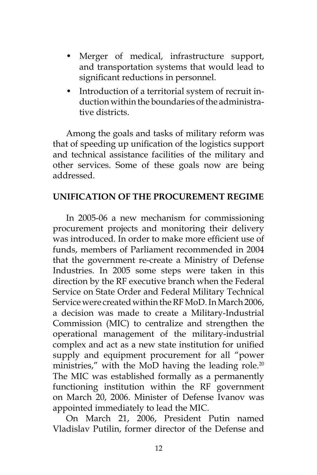- Merger of medical, infrastructure support, and transportation systems that would lead to significant reductions in personnel.
- Introduction of a territorial system of recruit induction within the boundaries of the administrative districts.

Among the goals and tasks of military reform was that of speeding up unification of the logistics support and technical assistance facilities of the military and other services. Some of these goals now are being addressed.

### **UNIFICATION OF THE PROCUREMENT REGIME**

In 2005-06 a new mechanism for commissioning procurement projects and monitoring their delivery was introduced. In order to make more efficient use of funds, members of Parliament recommended in 2004 that the government re-create a Ministry of Defense Industries. In 2005 some steps were taken in this direction by the RF executive branch when the Federal Service on State Order and Federal Military Technical Service were created within the RF MoD. In March 2006, a decision was made to create a Military-Industrial Commission (MIC) to centralize and strengthen the operational management of the military-industrial complex and act as a new state institution for unified supply and equipment procurement for all "power ministries," with the MoD having the leading role. $20$ The MIC was established formally as a permanently functioning institution within the RF government on March 20, 2006. Minister of Defense Ivanov was appointed immediately to lead the MIC.

On March 21, 2006, President Putin named Vladislav Putilin, former director of the Defense and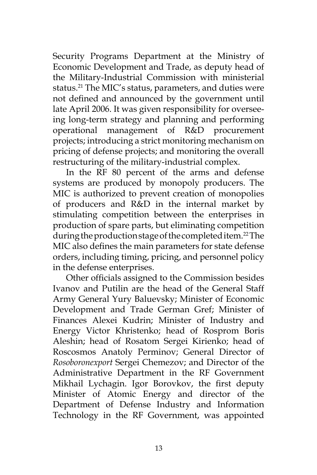Security Programs Department at the Ministry of Economic Development and Trade, as deputy head of the Military-Industrial Commission with ministerial status.<sup>21</sup> The MIC's status, parameters, and duties were not defined and announced by the government until late April 2006. It was given responsibility for overseeing long-term strategy and planning and performing operational management of R&D procurement projects; introducing a strict monitoring mechanism on pricing of defense projects; and monitoring the overall restructuring of the military-industrial complex.

In the RF 80 percent of the arms and defense systems are produced by monopoly producers. The MIC is authorized to prevent creation of monopolies of producers and R&D in the internal market by stimulating competition between the enterprises in production of spare parts, but eliminating competition during the production stage of the completed item.<sup>22</sup> The MIC also defines the main parameters for state defense orders, including timing, pricing, and personnel policy in the defense enterprises.

Other officials assigned to the Commission besides Ivanov and Putilin are the head of the General Staff Army General Yury Baluevsky; Minister of Economic Development and Trade German Gref; Minister of Finances Alexei Kudrin; Minister of Industry and Energy Victor Khristenko; head of Rosprom Boris Aleshin; head of Rosatom Sergei Kirienko; head of Roscosmos Anatoly Perminov; General Director of *Rosoboronexport* Sergei Chemezov; and Director of the Administrative Department in the RF Government Mikhail Lychagin. Igor Borovkov, the first deputy Minister of Atomic Energy and director of the Department of Defense Industry and Information Technology in the RF Government, was appointed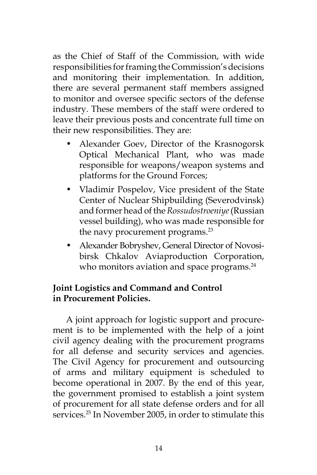as the Chief of Staff of the Commission, with wide responsibilities for framing the Commission's decisions and monitoring their implementation. In addition, there are several permanent staff members assigned to monitor and oversee specific sectors of the defense industry. These members of the staff were ordered to leave their previous posts and concentrate full time on their new responsibilities. They are:

- Alexander Goev, Director of the Krasnogorsk Optical Mechanical Plant, who was made responsible for weapons/weapon systems and platforms for the Ground Forces;
- Vladimir Pospelov, Vice president of the State Center of Nuclear Shipbuilding (Severodvinsk) and former head of the *Rossudostroeniye* (Russian vessel building), who was made responsible for the navy procurement programs.<sup>23</sup>
- Alexander Bobryshev, General Director of Novosibirsk Chkalov Aviaproduction Corporation, who monitors aviation and space programs.<sup>24</sup>

## **Joint Logistics and Command and Control in Procurement Policies.**

A joint approach for logistic support and procurement is to be implemented with the help of a joint civil agency dealing with the procurement programs for all defense and security services and agencies. The Civil Agency for procurement and outsourcing of arms and military equipment is scheduled to become operational in 2007. By the end of this year, the government promised to establish a joint system of procurement for all state defense orders and for all services.<sup>25</sup> In November 2005, in order to stimulate this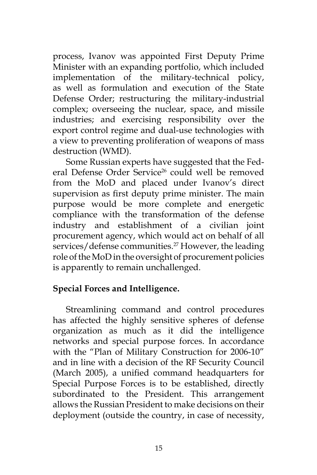process, Ivanov was appointed First Deputy Prime Minister with an expanding portfolio, which included implementation of the military-technical policy, as well as formulation and execution of the State Defense Order; restructuring the military-industrial complex; overseeing the nuclear, space, and missile industries; and exercising responsibility over the export control regime and dual-use technologies with a view to preventing proliferation of weapons of mass destruction (WMD).

Some Russian experts have suggested that the Federal Defense Order Service<sup>26</sup> could well be removed from the MoD and placed under Ivanov's direct supervision as first deputy prime minister. The main purpose would be more complete and energetic compliance with the transformation of the defense industry and establishment of a civilian joint procurement agency, which would act on behalf of all services/defense communities.<sup>27</sup> However, the leading role of the MoD in the oversight of procurement policies is apparently to remain unchallenged.

## **Special Forces and Intelligence.**

Streamlining command and control procedures has affected the highly sensitive spheres of defense organization as much as it did the intelligence networks and special purpose forces. In accordance with the "Plan of Military Construction for 2006-10" and in line with a decision of the RF Security Council (March 2005), a unified command headquarters for Special Purpose Forces is to be established, directly subordinated to the President. This arrangement allows the Russian President to make decisions on their deployment (outside the country, in case of necessity,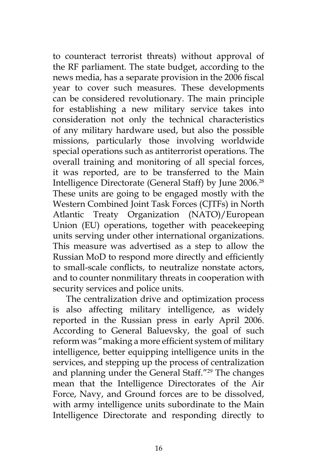to counteract terrorist threats) without approval of the RF parliament. The state budget, according to the news media, has a separate provision in the 2006 fiscal year to cover such measures. These developments can be considered revolutionary. The main principle for establishing a new military service takes into consideration not only the technical characteristics of any military hardware used, but also the possible missions, particularly those involving worldwide special operations such as antiterrorist operations. The overall training and monitoring of all special forces, it was reported, are to be transferred to the Main Intelligence Directorate (General Staff) by June 2006.<sup>28</sup> These units are going to be engaged mostly with the Western Combined Joint Task Forces (CJTFs) in North Atlantic Treaty Organization (NATO)/European Union (EU) operations, together with peacekeeping units serving under other international organizations. This measure was advertised as a step to allow the Russian MoD to respond more directly and efficiently to small-scale conflicts, to neutralize nonstate actors, and to counter nonmilitary threats in cooperation with security services and police units.

The centralization drive and optimization process is also affecting military intelligence, as widely reported in the Russian press in early April 2006. According to General Baluevsky, the goal of such reform was "making a more efficient system of military intelligence, better equipping intelligence units in the services, and stepping up the process of centralization and planning under the General Staff."<sup>29</sup> The changes mean that the Intelligence Directorates of the Air Force, Navy, and Ground forces are to be dissolved, with army intelligence units subordinate to the Main Intelligence Directorate and responding directly to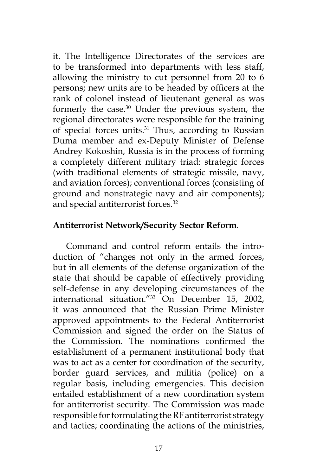it. The Intelligence Directorates of the services are to be transformed into departments with less staff, allowing the ministry to cut personnel from 20 to 6 persons; new units are to be headed by officers at the rank of colonel instead of lieutenant general as was formerly the case.30 Under the previous system, the regional directorates were responsible for the training of special forces units.<sup>31</sup> Thus, according to Russian Duma member and ex-Deputy Minister of Defense Andrey Kokoshin, Russia is in the process of forming a completely different military triad: strategic forces (with traditional elements of strategic missile, navy, and aviation forces); conventional forces (consisting of ground and nonstrategic navy and air components); and special antiterrorist forces.<sup>32</sup>

### **Antiterrorist Network/Security Sector Reform***.*

Command and control reform entails the introduction of "changes not only in the armed forces, but in all elements of the defense organization of the state that should be capable of effectively providing self-defense in any developing circumstances of the international situation."33 On December 15, 2002, it was announced that the Russian Prime Minister approved appointments to the Federal Antiterrorist Commission and signed the order on the Status of the Commission. The nominations confirmed the establishment of a permanent institutional body that was to act as a center for coordination of the security, border guard services, and militia (police) on a regular basis, including emergencies. This decision entailed establishment of a new coordination system for antiterrorist security. The Commission was made responsible for formulating the RF antiterrorist strategy and tactics; coordinating the actions of the ministries,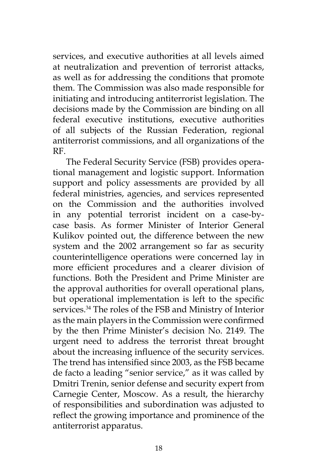services, and executive authorities at all levels aimed at neutralization and prevention of terrorist attacks, as well as for addressing the conditions that promote them. The Commission was also made responsible for initiating and introducing antiterrorist legislation. The decisions made by the Commission are binding on all federal executive institutions, executive authorities of all subjects of the Russian Federation, regional antiterrorist commissions, and all organizations of the RF.

The Federal Security Service (FSB) provides operational management and logistic support. Information support and policy assessments are provided by all federal ministries, agencies, and services represented on the Commission and the authorities involved in any potential terrorist incident on a case-bycase basis. As former Minister of Interior General Kulikov pointed out, the difference between the new system and the 2002 arrangement so far as security counterintelligence operations were concerned lay in more efficient procedures and a clearer division of functions. Both the President and Prime Minister are the approval authorities for overall operational plans, but operational implementation is left to the specific services.34 The roles of the FSB and Ministry of Interior as the main players in the Commission were confirmed by the then Prime Minister's decision No. 2149. The urgent need to address the terrorist threat brought about the increasing influence of the security services. The trend has intensified since 2003, as the FSB became de facto a leading "senior service," as it was called by Dmitri Trenin, senior defense and security expert from Carnegie Center, Moscow. As a result, the hierarchy of responsibilities and subordination was adjusted to reflect the growing importance and prominence of the antiterrorist apparatus.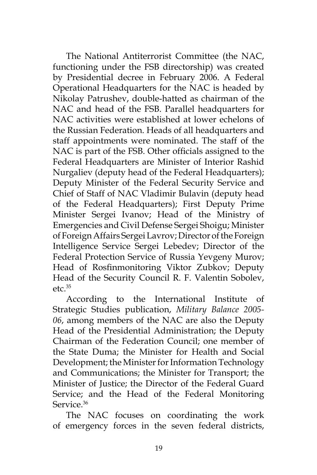The National Antiterrorist Committee (the NAC, functioning under the FSB directorship) was created by Presidential decree in February 2006. A Federal Operational Headquarters for the NAC is headed by Nikolay Patrushev, double-hatted as chairman of the NAC and head of the FSB. Parallel headquarters for NAC activities were established at lower echelons of the Russian Federation. Heads of all headquarters and staff appointments were nominated. The staff of the NAC is part of the FSB. Other officials assigned to the Federal Headquarters are Minister of Interior Rashid Nurgaliev (deputy head of the Federal Headquarters); Deputy Minister of the Federal Security Service and Chief of Staff of NAC Vladimir Bulavin (deputy head of the Federal Headquarters); First Deputy Prime Minister Sergei Ivanov; Head of the Ministry of Emergencies and Civil Defense Sergei Shoigu; Minister of Foreign Affairs Sergei Lavrov; Director of the Foreign Intelligence Service Sergei Lebedev; Director of the Federal Protection Service of Russia Yevgeny Murov; Head of Rosfinmonitoring Viktor Zubkov; Deputy Head of the Security Council R. F. Valentin Sobolev,  $etc.<sup>35</sup>$ 

According to the International Institute of Strategic Studies publication, *Military Balance 2005- 06*, among members of the NAC are also the Deputy Head of the Presidential Administration; the Deputy Chairman of the Federation Council; one member of the State Duma; the Minister for Health and Social Development; the Minister for Information Technology and Communications; the Minister for Transport; the Minister of Justice; the Director of the Federal Guard Service; and the Head of the Federal Monitoring Service.<sup>36</sup>

The NAC focuses on coordinating the work of emergency forces in the seven federal districts,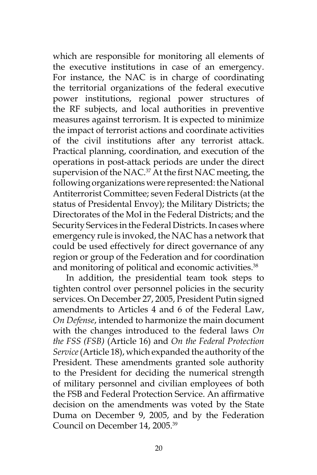which are responsible for monitoring all elements of the executive institutions in case of an emergency. For instance, the NAC is in charge of coordinating the territorial organizations of the federal executive power institutions, regional power structures of the RF subjects, and local authorities in preventive measures against terrorism. It is expected to minimize the impact of terrorist actions and coordinate activities of the civil institutions after any terrorist attack. Practical planning, coordination, and execution of the operations in post-attack periods are under the direct supervision of the NAC.<sup>37</sup> At the first NAC meeting, the following organizations were represented: the National Antiterrorist Committee; seven Federal Districts (at the status of Presidental Envoy); the Military Districts; the Directorates of the MoI in the Federal Districts; and the Security Services in the Federal Districts. In cases where emergency rule is invoked, the NAC has a network that could be used effectively for direct governance of any region or group of the Federation and for coordination and monitoring of political and economic activities.<sup>38</sup>

In addition, the presidential team took steps to tighten control over personnel policies in the security services. On December 27, 2005, President Putin signed amendments to Articles 4 and 6 of the Federal Law, *On Defense*, intended to harmonize the main document with the changes introduced to the federal laws *On the FSS (FSB)* (Article 16) and *On the Federal Protection Service* (Article 18), which expanded the authority of the President. These amendments granted sole authority to the President for deciding the numerical strength of military personnel and civilian employees of both the FSB and Federal Protection Service. An affirmative decision on the amendments was voted by the State Duma on December 9, 2005, and by the Federation Council on December 14, 2005.39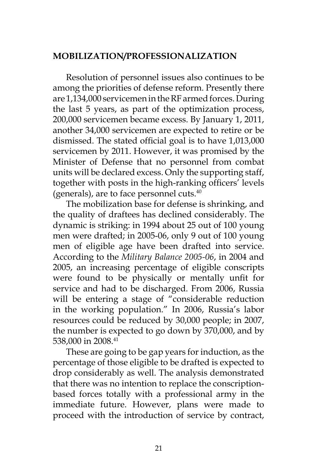### **MOBILIZATION/PROFESSIONALIZATION**

Resolution of personnel issues also continues to be among the priorities of defense reform. Presently there are 1,134,000 servicemen in the RF armed forces. During the last 5 years, as part of the optimization process, 200,000 servicemen became excess. By January 1, 2011, another 34,000 servicemen are expected to retire or be dismissed. The stated official goal is to have 1,013,000 servicemen by 2011. However, it was promised by the Minister of Defense that no personnel from combat units will be declared excess. Only the supporting staff, together with posts in the high-ranking officers' levels (generals), are to face personnel cuts.40

The mobilization base for defense is shrinking, and the quality of draftees has declined considerably. The dynamic is striking: in 1994 about 25 out of 100 young men were drafted; in 2005-06, only 9 out of 100 young men of eligible age have been drafted into service. According to the *Military Balance 2005-06*, in 2004 and 2005, an increasing percentage of eligible conscripts were found to be physically or mentally unfit for service and had to be discharged. From 2006, Russia will be entering a stage of "considerable reduction in the working population." In 2006, Russia's labor resources could be reduced by 30,000 people; in 2007, the number is expected to go down by 370,000, and by 538,000 in 2008.<sup>41</sup>

These are going to be gap years for induction, as the percentage of those eligible to be drafted is expected to drop considerably as well. The analysis demonstrated that there was no intention to replace the conscriptionbased forces totally with a professional army in the immediate future. However, plans were made to proceed with the introduction of service by contract,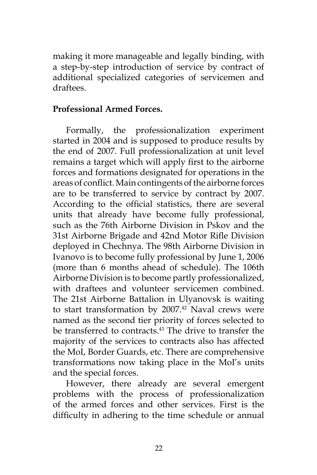making it more manageable and legally binding, with a step-by-step introduction of service by contract of additional specialized categories of servicemen and draftees.

### **Professional Armed Forces.**

Formally, the professionalization experiment started in 2004 and is supposed to produce results by the end of 2007. Full professionalization at unit level remains a target which will apply first to the airborne forces and formations designated for operations in the areas of conflict. Main contingents of the airborne forces are to be transferred to service by contract by 2007. According to the official statistics, there are several units that already have become fully professional, such as the 76th Airborne Division in Pskov and the 31st Airborne Brigade and 42nd Motor Rifle Division deployed in Chechnya. The 98th Airborne Division in Ivanovo is to become fully professional by June 1, 2006 (more than 6 months ahead of schedule). The 106th Airborne Division is to become partly professionalized, with draftees and volunteer servicemen combined. The 21st Airborne Battalion in Ulyanovsk is waiting to start transformation by 2007.<sup>42</sup> Naval crews were named as the second tier priority of forces selected to be transferred to contracts.<sup>43</sup> The drive to transfer the majority of the services to contracts also has affected the MoI, Border Guards, etc. There are comprehensive transformations now taking place in the MoI's units and the special forces.

However, there already are several emergent problems with the process of professionalization of the armed forces and other services. First is the difficulty in adhering to the time schedule or annual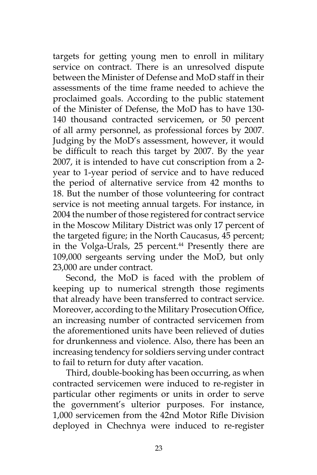targets for getting young men to enroll in military service on contract. There is an unresolved dispute between the Minister of Defense and MoD staff in their assessments of the time frame needed to achieve the proclaimed goals. According to the public statement of the Minister of Defense, the MoD has to have 130- 140 thousand contracted servicemen, or 50 percent of all army personnel, as professional forces by 2007. Judging by the MoD's assessment, however, it would be difficult to reach this target by 2007. By the year 2007, it is intended to have cut conscription from a 2 year to 1-year period of service and to have reduced the period of alternative service from 42 months to 18. But the number of those volunteering for contract service is not meeting annual targets. For instance, in 2004 the number of those registered for contract service in the Moscow Military District was only 17 percent of the targeted figure; in the North Caucasus, 45 percent; in the Volga-Urals, 25 percent.<sup>44</sup> Presently there are 109,000 sergeants serving under the MoD, but only 23,000 are under contract.

Second, the MoD is faced with the problem of keeping up to numerical strength those regiments that already have been transferred to contract service. Moreover, according to the Military Prosecution Office, an increasing number of contracted servicemen from the aforementioned units have been relieved of duties for drunkenness and violence. Also, there has been an increasing tendency for soldiers serving under contract to fail to return for duty after vacation.

Third, double-booking has been occurring, as when contracted servicemen were induced to re-register in particular other regiments or units in order to serve the government's ulterior purposes. For instance, 1,000 servicemen from the 42nd Motor Rifle Division deployed in Chechnya were induced to re-register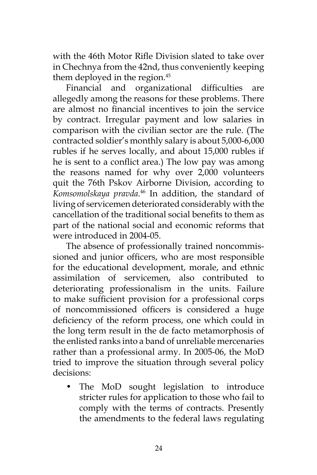with the 46th Motor Rifle Division slated to take over in Chechnya from the 42nd, thus conveniently keeping them deployed in the region.<sup>45</sup>

Financial and organizational difficulties are allegedly among the reasons for these problems. There are almost no financial incentives to join the service by contract. Irregular payment and low salaries in comparison with the civilian sector are the rule. (The contracted soldier's monthly salary is about 5,000-6,000 rubles if he serves locally, and about 15,000 rubles if he is sent to a conflict area.) The low pay was among the reasons named for why over 2,000 volunteers quit the 76th Pskov Airborne Division, according to *Komsomolskaya pravda.*46 In addition, the standard of living of servicemen deteriorated considerably with the cancellation of the traditional social benefits to them as part of the national social and economic reforms that were introduced in 2004-05.

The absence of professionally trained noncommissioned and junior officers, who are most responsible for the educational development, morale, and ethnic assimilation of servicemen, also contributed to deteriorating professionalism in the units. Failure to make sufficient provision for a professional corps of noncommissioned officers is considered a huge deficiency of the reform process, one which could in the long term result in the de facto metamorphosis of the enlisted ranks into a band of unreliable mercenaries rather than a professional army. In 2005-06, the MoD tried to improve the situation through several policy decisions:

The MoD sought legislation to introduce stricter rules for application to those who fail to comply with the terms of contracts. Presently the amendments to the federal laws regulating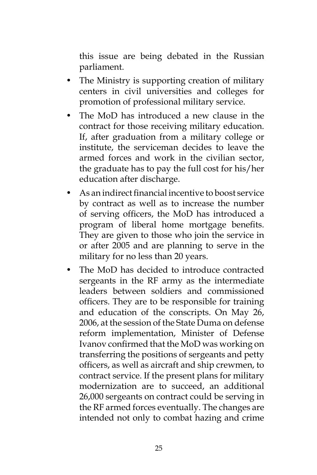this issue are being debated in the Russian parliament.

- The Ministry is supporting creation of military centers in civil universities and colleges for promotion of professional military service.
- The MoD has introduced a new clause in the contract for those receiving military education. If, after graduation from a military college or institute, the serviceman decides to leave the armed forces and work in the civilian sector, the graduate has to pay the full cost for his/her education after discharge.
- As an indirect financial incentive to boost service by contract as well as to increase the number of serving officers, the MoD has introduced a program of liberal home mortgage benefits. They are given to those who join the service in or after 2005 and are planning to serve in the military for no less than 20 years.
- The MoD has decided to introduce contracted sergeants in the RF army as the intermediate leaders between soldiers and commissioned officers. They are to be responsible for training and education of the conscripts. On May 26, 2006, at the session of the State Duma on defense reform implementation, Minister of Defense Ivanov confirmed that the MoD was working on transferring the positions of sergeants and petty officers, as well as aircraft and ship crewmen, to contract service. If the present plans for military modernization are to succeed, an additional 26,000 sergeants on contract could be serving in the RF armed forces eventually. The changes are intended not only to combat hazing and crime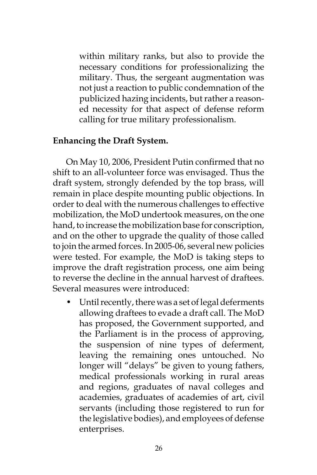within military ranks, but also to provide the necessary conditions for professionalizing the military. Thus, the sergeant augmentation was not just a reaction to public condemnation of the publicized hazing incidents, but rather a reasoned necessity for that aspect of defense reform calling for true military professionalism.

#### **Enhancing the Draft System.**

On May 10, 2006, President Putin confirmed that no shift to an all-volunteer force was envisaged. Thus the draft system, strongly defended by the top brass, will remain in place despite mounting public objections. In order to deal with the numerous challenges to effective mobilization, the MoD undertook measures, on the one hand, to increase the mobilization base for conscription, and on the other to upgrade the quality of those called to join the armed forces. In 2005-06, several new policies were tested. For example, the MoD is taking steps to improve the draft registration process, one aim being to reverse the decline in the annual harvest of draftees. Several measures were introduced:

• Until recently, there was a set of legal deferments allowing draftees to evade a draft call. The MoD has proposed, the Government supported, and the Parliament is in the process of approving, the suspension of nine types of deferment, leaving the remaining ones untouched. No longer will "delays" be given to young fathers, medical professionals working in rural areas and regions, graduates of naval colleges and academies, graduates of academies of art, civil servants (including those registered to run for the legislative bodies), and employees of defense enterprises.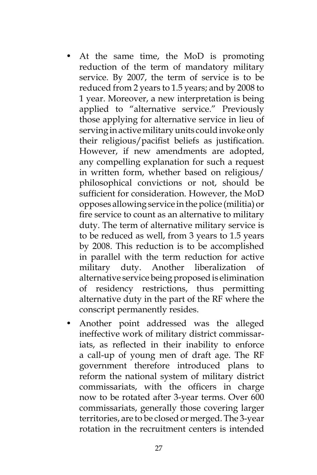- At the same time, the MoD is promoting reduction of the term of mandatory military service. By 2007, the term of service is to be reduced from 2 years to 1.5 years; and by 2008 to 1 year. Moreover, a new interpretation is being applied to "alternative service." Previously those applying for alternative service in lieu of serving in active military units could invoke only their religious/pacifist beliefs as justification. However, if new amendments are adopted, any compelling explanation for such a request in written form, whether based on religious/ philosophical convictions or not, should be sufficient for consideration. However, the MoD opposes allowing service in the police (militia) or fire service to count as an alternative to military duty. The term of alternative military service is to be reduced as well, from 3 years to 1.5 years by 2008. This reduction is to be accomplished in parallel with the term reduction for active military duty. Another liberalization of alternative service being proposed is elimination of residency restrictions, thus permitting alternative duty in the part of the RF where the conscript permanently resides.
- Another point addressed was the alleged ineffective work of military district commissariats, as reflected in their inability to enforce a call-up of young men of draft age. The RF government therefore introduced plans to reform the national system of military district commissariats, with the officers in charge now to be rotated after 3-year terms. Over 600 commissariats, generally those covering larger territories, are to be closed or merged. The 3-year rotation in the recruitment centers is intended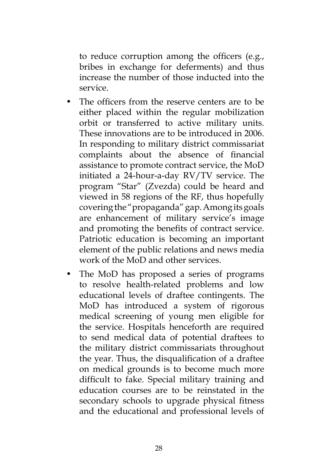to reduce corruption among the officers (e.g., bribes in exchange for deferments) and thus increase the number of those inducted into the service.

- The officers from the reserve centers are to be either placed within the regular mobilization orbit or transferred to active military units. These innovations are to be introduced in 2006. In responding to military district commissariat complaints about the absence of financial assistance to promote contract service, the MoD initiated a 24-hour-a-day RV/TV service. The program "Star" (Zvezda) could be heard and viewed in 58 regions of the RF, thus hopefully covering the "propaganda" gap. Among its goals are enhancement of military service's image and promoting the benefits of contract service. Patriotic education is becoming an important element of the public relations and news media work of the MoD and other services.
- The MoD has proposed a series of programs to resolve health-related problems and low educational levels of draftee contingents. The MoD has introduced a system of rigorous medical screening of young men eligible for the service. Hospitals henceforth are required to send medical data of potential draftees to the military district commissariats throughout the year. Thus, the disqualification of a draftee on medical grounds is to become much more difficult to fake. Special military training and education courses are to be reinstated in the secondary schools to upgrade physical fitness and the educational and professional levels of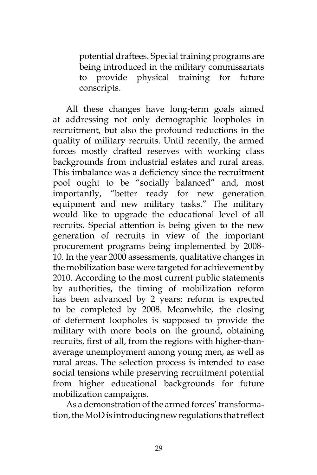potential draftees. Special training programs are being introduced in the military commissariats to provide physical training for future conscripts.

All these changes have long-term goals aimed at addressing not only demographic loopholes in recruitment, but also the profound reductions in the quality of military recruits. Until recently, the armed forces mostly drafted reserves with working class backgrounds from industrial estates and rural areas. This imbalance was a deficiency since the recruitment pool ought to be "socially balanced" and, most importantly, "better ready for new generation equipment and new military tasks." The military would like to upgrade the educational level of all recruits. Special attention is being given to the new generation of recruits in view of the important procurement programs being implemented by 2008- 10. In the year 2000 assessments, qualitative changes in the mobilization base were targeted for achievement by 2010. According to the most current public statements by authorities, the timing of mobilization reform has been advanced by 2 years; reform is expected to be completed by 2008. Meanwhile, the closing of deferment loopholes is supposed to provide the military with more boots on the ground, obtaining recruits, first of all, from the regions with higher-thanaverage unemployment among young men, as well as rural areas. The selection process is intended to ease social tensions while preserving recruitment potential from higher educational backgrounds for future mobilization campaigns.

As a demonstration of the armed forces' transformation, the MoD is introducing new regulations that reflect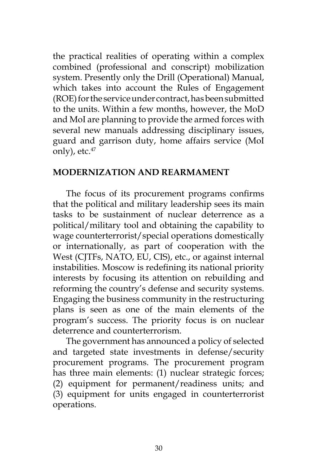the practical realities of operating within a complex combined (professional and conscript) mobilization system. Presently only the Drill (Operational) Manual, which takes into account the Rules of Engagement (ROE) for the service under contract, has been submitted to the units. Within a few months, however, the MoD and MoI are planning to provide the armed forces with several new manuals addressing disciplinary issues, guard and garrison duty, home affairs service (MoI only), etc.<sup>47</sup>

### **MODERNIZATION AND REARMAMENT**

The focus of its procurement programs confirms that the political and military leadership sees its main tasks to be sustainment of nuclear deterrence as a political/military tool and obtaining the capability to wage counterterrorist/special operations domestically or internationally, as part of cooperation with the West (CJTFs, NATO, EU, CIS), etc., or against internal instabilities. Moscow is redefining its national priority interests by focusing its attention on rebuilding and reforming the country's defense and security systems. Engaging the business community in the restructuring plans is seen as one of the main elements of the program's success. The priority focus is on nuclear deterrence and counterterrorism.

The government has announced a policy of selected and targeted state investments in defense/security procurement programs. The procurement program has three main elements: (1) nuclear strategic forces; (2) equipment for permanent/readiness units; and (3) equipment for units engaged in counterterrorist operations.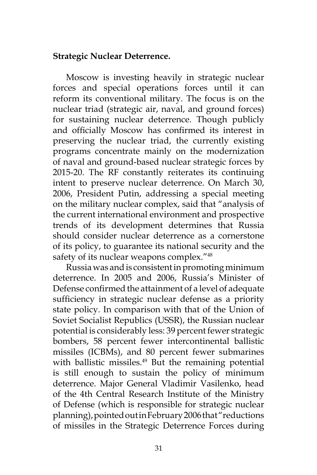## **Strategic Nuclear Deterrence.**

Moscow is investing heavily in strategic nuclear forces and special operations forces until it can reform its conventional military. The focus is on the nuclear triad (strategic air, naval, and ground forces) for sustaining nuclear deterrence. Though publicly and officially Moscow has confirmed its interest in preserving the nuclear triad, the currently existing programs concentrate mainly on the modernization of naval and ground-based nuclear strategic forces by 2015-20. The RF constantly reiterates its continuing intent to preserve nuclear deterrence. On March 30, 2006, President Putin, addressing a special meeting on the military nuclear complex, said that "analysis of the current international environment and prospective trends of its development determines that Russia should consider nuclear deterrence as a cornerstone of its policy, to guarantee its national security and the safety of its nuclear weapons complex."<sup>48</sup>

Russia was and is consistent in promoting minimum deterrence. In 2005 and 2006, Russia's Minister of Defense confirmed the attainment of a level of adequate sufficiency in strategic nuclear defense as a priority state policy. In comparison with that of the Union of Soviet Socialist Republics (USSR), the Russian nuclear potential is considerably less: 39 percent fewer strategic bombers, 58 percent fewer intercontinental ballistic missiles (ICBMs), and 80 percent fewer submarines with ballistic missiles. $49$  But the remaining potential is still enough to sustain the policy of minimum deterrence. Major General Vladimir Vasilenko, head of the 4th Central Research Institute of the Ministry of Defense (which is responsible for strategic nuclear planning), pointed out in February 2006 that "reductions of missiles in the Strategic Deterrence Forces during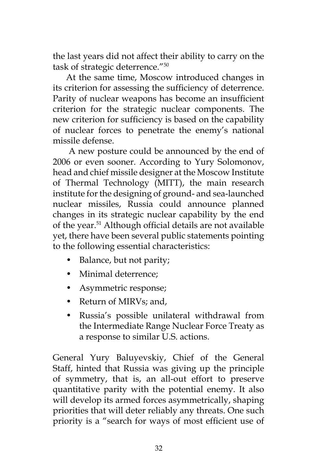the last years did not affect their ability to carry on the task of strategic deterrence."50

At the same time, Moscow introduced changes in its criterion for assessing the sufficiency of deterrence. Parity of nuclear weapons has become an insufficient criterion for the strategic nuclear components. The new criterion for sufficiency is based on the capability of nuclear forces to penetrate the enemy's national missile defense.

 A new posture could be announced by the end of 2006 or even sooner. According to Yury Solomonov, head and chief missile designer at the Moscow Institute of Thermal Technology (MITT), the main research institute for the designing of ground- and sea-launched nuclear missiles, Russia could announce planned changes in its strategic nuclear capability by the end of the year.51 Although official details are not available yet, there have been several public statements pointing to the following essential characteristics:

- Balance, but not parity;
- Minimal deterrence;
- Asymmetric response;
- Return of MIRVs; and,
- Russia's possible unilateral withdrawal from the Intermediate Range Nuclear Force Treaty as a response to similar U.S. actions.

General Yury Baluyevskiy, Chief of the General Staff, hinted that Russia was giving up the principle of symmetry, that is, an all-out effort to preserve quantitative parity with the potential enemy. It also will develop its armed forces asymmetrically, shaping priorities that will deter reliably any threats. One such priority is a "search for ways of most efficient use of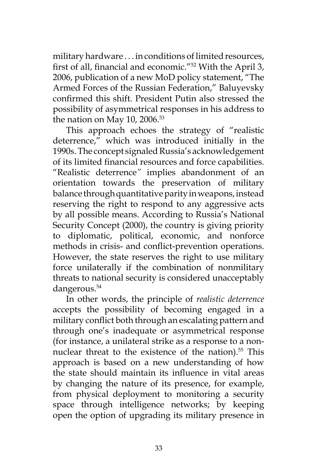military hardware . . . in conditions of limited resources, first of all, financial and economic."52 With the April 3, 2006, publication of a new MoD policy statement, "The Armed Forces of the Russian Federation," Baluyevsky confirmed this shift. President Putin also stressed the possibility of asymmetrical responses in his address to the nation on May 10, 2006. $53$ 

This approach echoes the strategy of "realistic deterrence," which was introduced initially in the 1990s. The concept signaled Russia's acknowledgement of its limited financial resources and force capabilities. "Realistic deterrence*"* implies abandonment of an orientation towards the preservation of military balance through quantitative parity in weapons, instead reserving the right to respond to any aggressive acts by all possible means. According to Russia's National Security Concept (2000), the country is giving priority to diplomatic, political, economic, and nonforce methods in crisis- and conflict-prevention operations. However, the state reserves the right to use military force unilaterally if the combination of nonmilitary threats to national security is considered unacceptably dangerous.<sup>54</sup>

In other words, the principle of *realistic deterrence* accepts the possibility of becoming engaged in a military conflict both through an escalating pattern and through one's inadequate or asymmetrical response (for instance, a unilateral strike as a response to a nonnuclear threat to the existence of the nation).<sup>55</sup> This approach is based on a new understanding of how the state should maintain its influence in vital areas by changing the nature of its presence, for example, from physical deployment to monitoring a security space through intelligence networks; by keeping open the option of upgrading its military presence in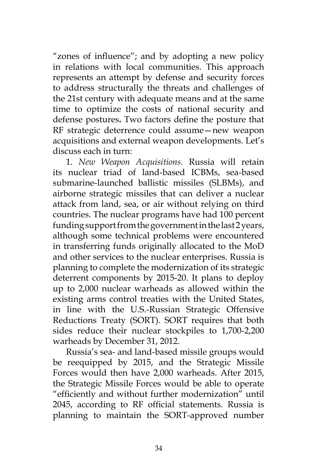"zones of influence"; and by adopting a new policy in relations with local communities. This approach represents an attempt by defense and security forces to address structurally the threats and challenges of the 21st century with adequate means and at the same time to optimize the costs of national security and defense postures**.** Two factors define the posture that RF strategic deterrence could assume—new weapon acquisitions and external weapon developments. Let's discuss each in turn:

1. *New Weapon Acquisitions.* Russia will retain its nuclear triad of land-based ICBMs, sea-based submarine-launched ballistic missiles (SLBMs), and airborne strategic missiles that can deliver a nuclear attack from land, sea, or air without relying on third countries. The nuclear programs have had 100 percent funding support from the government in the last 2 years, although some technical problems were encountered in transferring funds originally allocated to the MoD and other services to the nuclear enterprises. Russia is planning to complete the modernization of its strategic deterrent components by 2015-20. It plans to deploy up to 2,000 nuclear warheads as allowed within the existing arms control treaties with the United States, in line with the U.S.-Russian Strategic Offensive Reductions Treaty (SORT). SORT requires that both sides reduce their nuclear stockpiles to 1,700-2,200 warheads by December 31, 2012.

Russia's sea- and land-based missile groups would be reequipped by 2015, and the Strategic Missile Forces would then have 2,000 warheads. After 2015, the Strategic Missile Forces would be able to operate "efficiently and without further modernization" until 2045, according to RF official statements. Russia is planning to maintain the SORT-approved number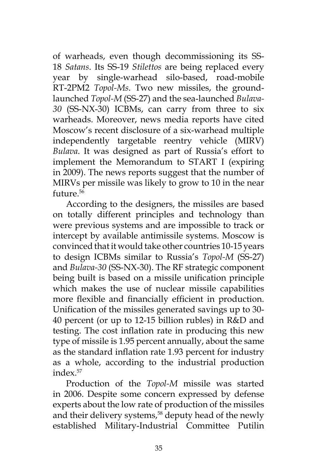of warheads, even though decommissioning its SS-18 *Satans*. Its SS-19 *Stilettos* are being replaced every year by single-warhead silo-based, road-mobile RT-2PM2 *Topol-Ms*. Two new missiles, the groundlaunched *Topol-M* (SS-27) and the sea-launched *Bulava-30* (SS-NX-30) ICBMs, can carry from three to six warheads. Moreover, news media reports have cited Moscow's recent disclosure of a six-warhead multiple independently targetable reentry vehicle (MIRV) *Bulava*. It was designed as part of Russia's effort to implement the Memorandum to START I (expiring in 2009). The news reports suggest that the number of MIRVs per missile was likely to grow to 10 in the near  $f$ uture  $56$ 

According to the designers, the missiles are based on totally different principles and technology than were previous systems and are impossible to track or intercept by available antimissile systems. Moscow is convinced that it would take other countries 10-15 years to design ICBMs similar to Russia's *Topol-M* (SS-27) and *Bulava-30* (SS-NX-30). The RF strategic component being built is based on a missile unification principle which makes the use of nuclear missile capabilities more flexible and financially efficient in production. Unification of the missiles generated savings up to 30- 40 percent (or up to 12-15 billion rubles) in R&D and testing. The cost inflation rate in producing this new type of missile is 1.95 percent annually, about the same as the standard inflation rate 1.93 percent for industry as a whole, according to the industrial production index.57

Production of the *Topol-M* missile was started in 2006. Despite some concern expressed by defense experts about the low rate of production of the missiles and their delivery systems,<sup>58</sup> deputy head of the newly established Military-Industrial Committee Putilin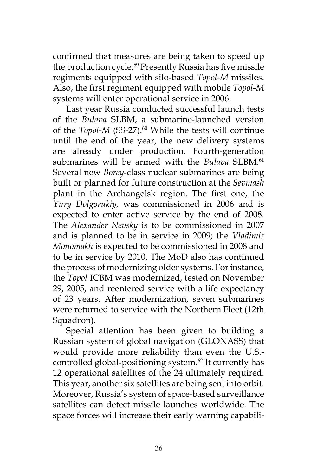confirmed that measures are being taken to speed up the production cycle.<sup>59</sup> Presently Russia has five missile regiments equipped with silo-based *Topol-M* missiles. Also, the first regiment equipped with mobile *Topol-M* systems will enter operational service in 2006.

Last year Russia conducted successful launch tests of the *Bulava* SLBM, a submarine-launched version of the *Topol-M* (SS-27).<sup>60</sup> While the tests will continue until the end of the year, the new delivery systems are already under production. Fourth-generation submarines will be armed with the *Bulava* SLBM.<sup>61</sup> Several new *Borey*-class nuclear submarines are being built or planned for future construction at the *Sevmash* plant in the Archangelsk region. The first one, the *Yury Dolgorukiy,* was commissioned in 2006 and is expected to enter active service by the end of 2008. The *Alexander Nevsky* is to be commissioned in 2007 and is planned to be in service in 2009; the *Vladimir Monomakh* is expected to be commissioned in 2008 and to be in service by 2010. The MoD also has continued the process of modernizing older systems. For instance, the *Topol* ICBM was modernized, tested on November 29, 2005, and reentered service with a life expectancy of 23 years. After modernization, seven submarines were returned to service with the Northern Fleet (12th Squadron).

Special attention has been given to building a Russian system of global navigation (GLONASS) that would provide more reliability than even the U.S. controlled global-positioning system.<sup>62</sup> It currently has 12 operational satellites of the 24 ultimately required. This year, another six satellites are being sent into orbit. Moreover, Russia's system of space-based surveillance satellites can detect missile launches worldwide. The space forces will increase their early warning capabili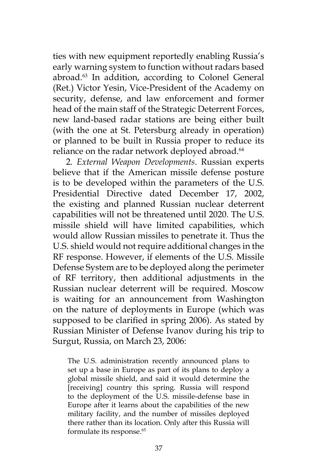ties with new equipment reportedly enabling Russia's early warning system to function without radars based abroad.<sup>63</sup> In addition, according to Colonel General (Ret.) Victor Yesin, Vice-President of the Academy on security, defense, and law enforcement and former head of the main staff of the Strategic Deterrent Forces, new land-based radar stations are being either built (with the one at St. Petersburg already in operation) or planned to be built in Russia proper to reduce its reliance on the radar network deployed abroad.<sup>64</sup>

2. *External Weapon Developments*. Russian experts believe that if the American missile defense posture is to be developed within the parameters of the U.S. Presidential Directive dated December 17, 2002, the existing and planned Russian nuclear deterrent capabilities will not be threatened until 2020. The U.S. missile shield will have limited capabilities, which would allow Russian missiles to penetrate it. Thus the U.S. shield would not require additional changes in the RF response. However, if elements of the U.S. Missile Defense System are to be deployed along the perimeter of RF territory, then additional adjustments in the Russian nuclear deterrent will be required. Moscow is waiting for an announcement from Washington on the nature of deployments in Europe (which was supposed to be clarified in spring 2006). As stated by Russian Minister of Defense Ivanov during his trip to Surgut, Russia, on March 23, 2006:

The U.S. administration recently announced plans to set up a base in Europe as part of its plans to deploy a global missile shield, and said it would determine the [receiving] country this spring. Russia will respond to the deployment of the U.S. missile-defense base in Europe after it learns about the capabilities of the new military facility, and the number of missiles deployed there rather than its location. Only after this Russia will formulate its response.<sup>65</sup>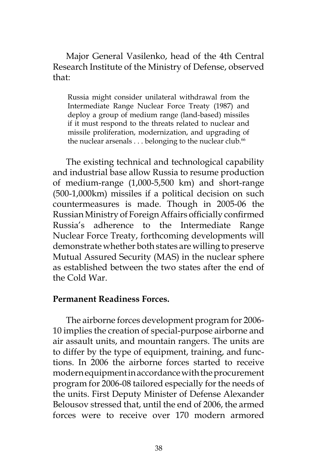Major General Vasilenko, head of the 4th Central Research Institute of the Ministry of Defense, observed that:

Russia might consider unilateral withdrawal from the Intermediate Range Nuclear Force Treaty (1987) and deploy a group of medium range (land-based) missiles if it must respond to the threats related to nuclear and missile proliferation, modernization, and upgrading of the nuclear arsenals  $\dots$  belonging to the nuclear club.<sup>66</sup>

The existing technical and technological capability and industrial base allow Russia to resume production of medium-range (1,000-5,500 km) and short-range (500-1,000km) missiles if a political decision on such countermeasures is made. Though in 2005-06 the Russian Ministry of Foreign Affairs officially confirmed Russia's adherence to the Intermediate Range Nuclear Force Treaty, forthcoming developments will demonstrate whether both states are willing to preserve Mutual Assured Security (MAS) in the nuclear sphere as established between the two states after the end of the Cold War.

### **Permanent Readiness Forces.**

The airborne forces development program for 2006- 10 implies the creation of special-purpose airborne and air assault units, and mountain rangers. The units are to differ by the type of equipment, training, and functions. In 2006 the airborne forces started to receive modern equipment in accordance with the procurement program for 2006-08 tailored especially for the needs of the units. First Deputy Minister of Defense Alexander Belousov stressed that, until the end of 2006, the armed forces were to receive over 170 modern armored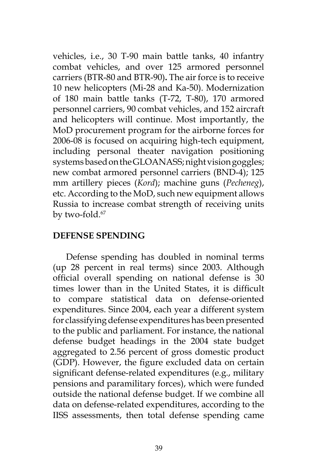vehicles, i.e., 30 T-90 main battle tanks, 40 infantry combat vehicles, and over 125 armored personnel carriers (BTR-80 and BTR-90)**.** The air force is to receive 10 new helicopters (Mi-28 and Ka-50). Modernization of 180 main battle tanks (Т-72, Т-80), 170 armored personnel carriers, 90 combat vehicles, and 152 aircraft and helicopters will continue. Most importantly, the MoD procurement program for the airborne forces for 2006-08 is focused on acquiring high-tech equipment, including personal theater navigation positioning systems based on the GLOANASS; night vision goggles; new combat armored personnel carriers (BND-4); 125 mm artillery pieces (*Kord*); machine guns (*Pecheneg*), etc. According to the MoD, such new equipment allows Russia to increase combat strength of receiving units by two-fold.<sup>67</sup>

# **DEFENSE SPENDING**

Defense spending has doubled in nominal terms (up 28 percent in real terms) since 2003. Although official overall spending on national defense is 30 times lower than in the United States, it is difficult to compare statistical data on defense-oriented expenditures. Since 2004, each year a different system for classifying defense expenditures has been presented to the public and parliament. For instance, the national defense budget headings in the 2004 state budget aggregated to 2.56 percent of gross domestic product (GDP). However, the figure excluded data on certain significant defense-related expenditures (e.g., military pensions and paramilitary forces), which were funded outside the national defense budget. If we combine all data on defense-related expenditures, according to the IISS assessments, then total defense spending came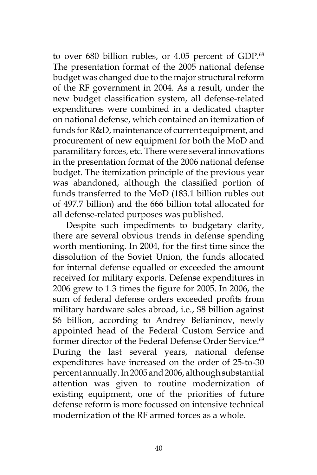to over 680 billion rubles, or 4.05 percent of GDP.<sup>68</sup> The presentation format of the 2005 national defense budget was changed due to the major structural reform of the RF government in 2004. As a result, under the new budget classification system, all defense-related expenditures were combined in a dedicated chapter on national defense, which contained an itemization of funds for R&D, maintenance of current equipment, and procurement of new equipment for both the MoD and paramilitary forces, etc. There were several innovations in the presentation format of the 2006 national defense budget. The itemization principle of the previous year was abandoned, although the classified portion of funds transferred to the MoD (183.1 billion rubles out of 497.7 billion) and the 666 billion total allocated for all defense-related purposes was published.

Despite such impediments to budgetary clarity, there are several obvious trends in defense spending worth mentioning. In 2004, for the first time since the dissolution of the Soviet Union, the funds allocated for internal defense equalled or exceeded the amount received for military exports. Defense expenditures in 2006 grew to 1.3 times the figure for 2005. In 2006, the sum of federal defense orders exceeded profits from military hardware sales abroad, i.e., \$8 billion against \$6 billion, according to Andrey Belianinov, newly appointed head of the Federal Custom Service and former director of the Federal Defense Order Service.<sup>69</sup> During the last several years, national defense expenditures have increased on the order of 25-to-30 percent annually. In 2005 and 2006, although substantial attention was given to routine modernization of existing equipment, one of the priorities of future defense reform is more focussed on intensive technical modernization of the RF armed forces as a whole.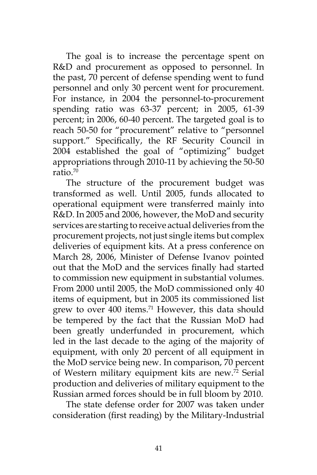The goal is to increase the percentage spent on R&D and procurement as opposed to personnel. In the past, 70 percent of defense spending went to fund personnel and only 30 percent went for procurement. For instance, in 2004 the personnel-to-procurement spending ratio was 63-37 percent; in 2005, 61-39 percent; in 2006, 60-40 percent. The targeted goal is to reach 50-50 for "procurement" relative to "personnel support." Specifically, the RF Security Council in 2004 established the goal of "optimizing" budget appropriations through 2010-11 by achieving the 50-50 ratio.70

The structure of the procurement budget was transformed as well. Until 2005, funds allocated to operational equipment were transferred mainly into R&D. In 2005 and 2006, however, the MoD and security services are starting to receive actual deliveries from the procurement projects, not just single items but complex deliveries of equipment kits. At a press conference on March 28, 2006, Minister of Defense Ivanov pointed out that the MoD and the services finally had started to commission new equipment in substantial volumes. From 2000 until 2005, the MoD commissioned only 40 items of equipment, but in 2005 its commissioned list grew to over 400 items.<sup>71</sup> However, this data should be tempered by the fact that the Russian MoD had been greatly underfunded in procurement, which led in the last decade to the aging of the majority of equipment, with only 20 percent of all equipment in the MoD service being new. In comparison, 70 percent of Western military equipment kits are new.<sup>72</sup> Serial production and deliveries of military equipment to the Russian armed forces should be in full bloom by 2010.

The state defense order for 2007 was taken under consideration (first reading) by the Military-Industrial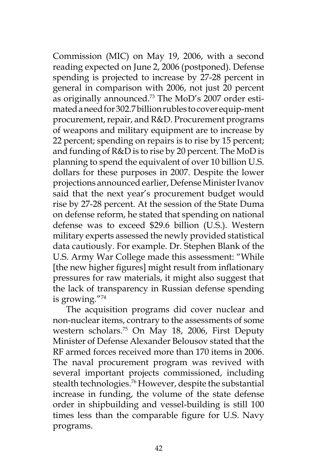Commission (MIC) on May 19, 2006, with a second reading expected on June 2, 2006 (postponed). Defense spending is projected to increase by 27-28 percent in general in comparison with 2006, not just 20 percent as originally announced.<sup>73</sup> The MoD's 2007 order estimated a need for 302.7 billion rubles to cover equip-ment procurement, repair, and R&D. Procurement programs of weapons and military equipment are to increase by 22 percent; spending on repairs is to rise by 15 percent; and funding of R&D is to rise by 20 percent. The MoD is planning to spend the equivalent of over 10 billion U.S. dollars for these purposes in 2007. Despite the lower projections announced earlier, Defense Minister Ivanov said that the next year's procurement budget would rise by 27-28 percent. At the session of the State Duma on defense reform, he stated that spending on national defense was to exceed \$29.6 billion (U.S.). Western military experts assessed the newly provided statistical data cautiously. For example. Dr. Stephen Blank of the U.S. Army War College made this assessment: "While [the new higher figures] might result from inflationary pressures for raw materials, it might also suggest that the lack of transparency in Russian defense spending is growing."74

The acquisition programs did cover nuclear and non-nuclear items, contrary to the assessments of some western scholars.75 On May 18, 2006, First Deputy Minister of Defense Alexander Belousov stated that the RF armed forces received more than 170 items in 2006. The naval procurement program was revived with several important projects commissioned, including stealth technologies.<sup>76</sup> However, despite the substantial increase in funding, the volume of the state defense order in shipbuilding and vessel-building is still 100 times less than the comparable figure for U.S. Navy programs.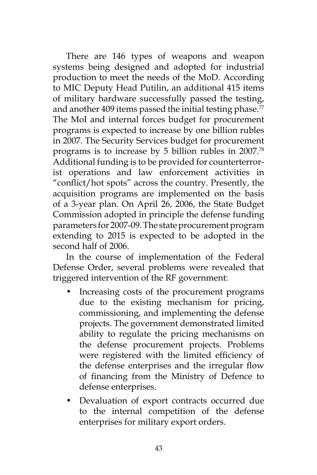There are 146 types of weapons and weapon systems being designed and adopted for industrial production to meet the needs of the MoD. According to MIC Deputy Head Putilin, an additional 415 items of military hardware successfully passed the testing, and another 409 items passed the initial testing phase. $77$ The MoI and internal forces budget for procurement programs is expected to increase by one billion rubles in 2007. The Security Services budget for procurement programs is to increase by 5 billion rubles in 2007.<sup>78</sup> Additional funding is to be provided for counterterrorist operations and law enforcement activities in "conflict/hot spots" across the country. Presently, the acquisition programs are implemented on the basis of a 3-year plan. On April 26, 2006, the State Budget Commission adopted in principle the defense funding parameters for 2007-09. The state procurement program extending to 2015 is expected to be adopted in the second half of 2006.

In the course of implementation of the Federal Defense Order, several problems were revealed that triggered intervention of the RF government:

- Increasing costs of the procurement programs due to the existing mechanism for pricing, commissioning, and implementing the defense projects. The government demonstrated limited ability to regulate the pricing mechanisms on the defense procurement projects. Problems were registered with the limited efficiency of the defense enterprises and the irregular flow of financing from the Ministry of Defence to defense enterprises.
- Devaluation of export contracts occurred due to the internal competition of the defense enterprises for military export orders.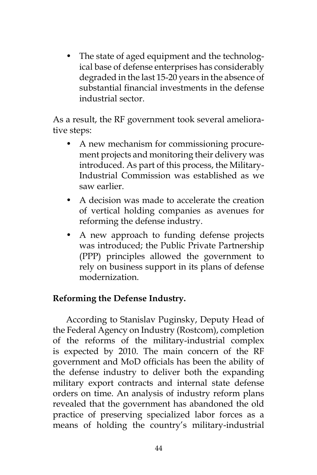The state of aged equipment and the technological base of defense enterprises has considerably degraded in the last 15-20 years in the absence of substantial financial investments in the defense industrial sector.

As a result, the RF government took several ameliorative steps:

- A new mechanism for commissioning procurement projects and monitoring their delivery was introduced. As part of this process, the Military-Industrial Commission was established as we saw earlier.
- A decision was made to accelerate the creation of vertical holding companies as avenues for reforming the defense industry.
- A new approach to funding defense projects was introduced; the Public Private Partnership (PPP) principles allowed the government to rely on business support in its plans of defense modernization.

# **Reforming the Defense Industry.**

According to Stanislav Puginsky, Deputy Head of the Federal Agency on Industry (Rostcom), completion of the reforms of the military-industrial complex is expected by 2010. The main concern of the RF government and MoD officials has been the ability of the defense industry to deliver both the expanding military export contracts and internal state defense orders on time. An analysis of industry reform plans revealed that the government has abandoned the old practice of preserving specialized labor forces as a means of holding the country's military-industrial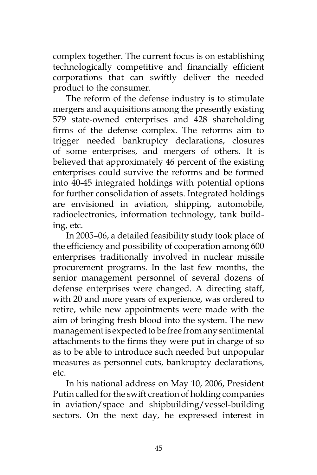complex together. The current focus is on establishing technologically competitive and financially efficient corporations that can swiftly deliver the needed product to the consumer.

The reform of the defense industry is to stimulate mergers and acquisitions among the presently existing 579 state-owned enterprises and 428 shareholding firms of the defense complex. The reforms aim to trigger needed bankruptcy declarations, closures of some enterprises, and mergers of others. It is believed that approximately 46 percent of the existing enterprises could survive the reforms and be formed into 40-45 integrated holdings with potential options for further consolidation of assets. Integrated holdings are envisioned in aviation, shipping, automobile, radioelectronics, information technology, tank building, etc.

In 2005–06, a detailed feasibility study took place of the efficiency and possibility of cooperation among 600 enterprises traditionally involved in nuclear missile procurement programs. In the last few months, the senior management personnel of several dozens of defense enterprises were changed. A directing staff, with 20 and more years of experience, was ordered to retire, while new appointments were made with the aim of bringing fresh blood into the system. The new management is expected to be free from any sentimental attachments to the firms they were put in charge of so as to be able to introduce such needed but unpopular measures as personnel cuts, bankruptcy declarations, etc.

In his national address on May 10, 2006, President Putin called for the swift creation of holding companies in aviation/space and shipbuilding/vessel-building sectors. On the next day, he expressed interest in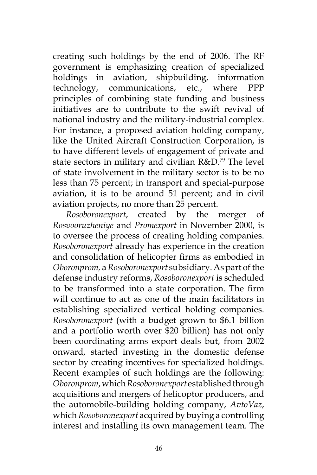creating such holdings by the end of 2006. The RF government is emphasizing creation of specialized holdings in aviation, shipbuilding, information technology, communications, etc., where PPP principles of combining state funding and business initiatives are to contribute to the swift revival of national industry and the military-industrial complex. For instance, a proposed aviation holding company, like the United Aircraft Construction Corporation, is to have different levels of engagement of private and state sectors in military and civilian  $R&D.<sup>79</sup>$  The level of state involvement in the military sector is to be no less than 75 percent; in transport and special-purpose aviation, it is to be around 51 percent; and in civil aviation projects, no more than 25 percent.

*Rosoboronexport*, created by the merger of *Rosvooruzheniye* and *Promexport* in November 2000, is to oversee the process of creating holding companies. *Rosoboronexport* already has experience in the creation and consolidation of helicopter firms as embodied in *Oboronprom,* a *Rosoboronexport* subsidiary. As part of the defense industry reforms, *Rosoboronexport* is scheduled to be transformed into a state corporation. The firm will continue to act as one of the main facilitators in establishing specialized vertical holding companies. *Rosoboronexport* (with a budget grown to \$6.1 billion and a portfolio worth over \$20 billion) has not only been coordinating arms export deals but, from 2002 onward, started investing in the domestic defense sector by creating incentives for specialized holdings. Recent examples of such holdings are the following: *Oboronprom*, which *Rosoboronexport* established through acquisitions and mergers of helicoptor producers, and the automobile-building holding company, *AvtoVaz*, which *Rosoboronexport* acquired by buying a controlling interest and installing its own management team. The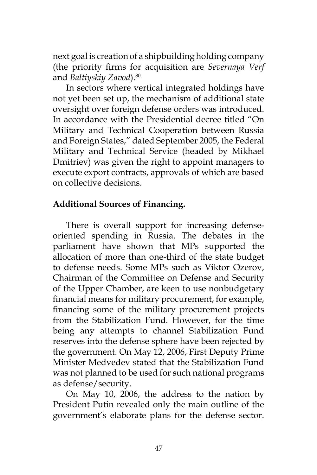next goal is creation of a shipbuilding holding company (the priority firms for acquisition are *Severnaya Verf* and *Baltiyskiy Zavod*).80

In sectors where vertical integrated holdings have not yet been set up, the mechanism of additional state oversight over foreign defense orders was introduced. In accordance with the Presidential decree titled "On Military and Technical Cooperation between Russia and Foreign States," dated September 2005, the Federal Military and Technical Service (headed by Mikhael Dmitriev) was given the right to appoint managers to execute export contracts, approvals of which are based on collective decisions.

# **Additional Sources of Financing.**

There is overall support for increasing defenseoriented spending in Russia. The debates in the parliament have shown that MPs supported the allocation of more than one-third of the state budget to defense needs. Some MPs such as Viktor Ozerov, Chairman of the Committee on Defense and Security of the Upper Chamber, are keen to use nonbudgetary financial means for military procurement, for example, financing some of the military procurement projects from the Stabilization Fund. However, for the time being any attempts to channel Stabilization Fund reserves into the defense sphere have been rejected by the government. On May 12, 2006, First Deputy Prime Minister Medvedev stated that the Stabilization Fund was not planned to be used for such national programs as defense/security.

On May 10, 2006, the address to the nation by President Putin revealed only the main outline of the government's elaborate plans for the defense sector.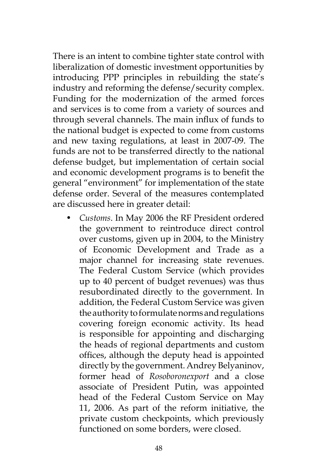There is an intent to combine tighter state control with liberalization of domestic investment opportunities by introducing PPP principles in rebuilding the state's industry and reforming the defense/security complex. Funding for the modernization of the armed forces and services is to come from a variety of sources and through several channels. The main influx of funds to the national budget is expected to come from customs and new taxing regulations, at least in 2007-09. The funds are not to be transferred directly to the national defense budget, but implementation of certain social and economic development programs is to benefit the general "environment" for implementation of the state defense order. Several of the measures contemplated are discussed here in greater detail:

• *Customs*. In May 2006 the RF President ordered the government to reintroduce direct control over customs, given up in 2004, to the Ministry of Economic Development and Trade as a major channel for increasing state revenues. The Federal Custom Service (which provides up to 40 percent of budget revenues) was thus resubordinated directly to the government. In addition, the Federal Custom Service was given the authority to formulate norms and regulations covering foreign economic activity. Its head is responsible for appointing and discharging the heads of regional departments and custom offices, although the deputy head is appointed directly by the government. Andrey Belyaninov, former head of *Rosoboronexport* and a close associate of President Putin, was appointed head of the Federal Custom Service on May 11, 2006. As part of the reform initiative, the private custom checkpoints, which previously functioned on some borders, were closed.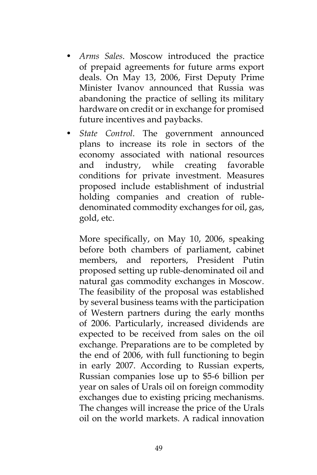- *Arms Sales*. Moscow introduced the practice of prepaid agreements for future arms export deals. On May 13, 2006, First Deputy Prime Minister Ivanov announced that Russia was abandoning the practice of selling its military hardware on credit or in exchange for promised future incentives and paybacks.
- *State Control*. The government announced plans to increase its role in sectors of the economy associated with national resources and industry, while creating favorable conditions for private investment. Measures proposed include establishment of industrial holding companies and creation of rubledenominated commodity exchanges for oil, gas, gold, etc.

More specifically, on May 10, 2006, speaking before both chambers of parliament, cabinet members, and reporters, President Putin proposed setting up ruble-denominated oil and natural gas commodity exchanges in Moscow. The feasibility of the proposal was established by several business teams with the participation of Western partners during the early months of 2006. Particularly, increased dividends are expected to be received from sales on the oil exchange. Preparations are to be completed by the end of 2006, with full functioning to begin in early 2007. According to Russian experts, Russian companies lose up to \$5-6 billion per year on sales of Urals oil on foreign commodity exchanges due to existing pricing mechanisms. The changes will increase the price of the Urals oil on the world markets. A radical innovation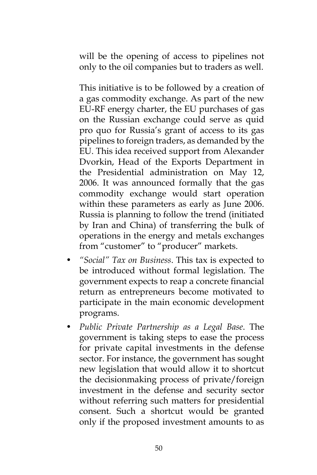will be the opening of access to pipelines not only to the oil companies but to traders as well.

 This initiative is to be followed by a creation of a gas commodity exchange. As part of the new EU-RF energy charter, the EU purchases of gas on the Russian exchange could serve as quid pro quo for Russia's grant of access to its gas pipelines to foreign traders, as demanded by the EU. This idea received support from Alexander Dvorkin, Head of the Exports Department in the Presidential administration on May 12, 2006. It was announced formally that the gas commodity exchange would start operation within these parameters as early as June 2006. Russia is planning to follow the trend (initiated by Iran and China) of transferring the bulk of operations in the energy and metals exchanges from "customer" to "producer" markets.

- *"Social" Tax on Business*. This tax is expected to be introduced without formal legislation. The government expects to reap a concrete financial return as entrepreneurs become motivated to participate in the main economic development programs.
- *Public Private Partnership as a Legal Base*. The government is taking steps to ease the process for private capital investments in the defense sector. For instance, the government has sought new legislation that would allow it to shortcut the decisionmaking process of private/foreign investment in the defense and security sector without referring such matters for presidential consent. Such a shortcut would be granted only if the proposed investment amounts to as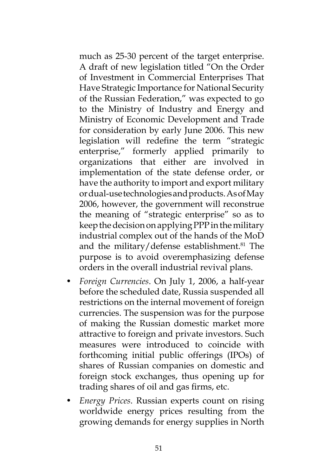much as 25-30 percent of the target enterprise. A draft of new legislation titled "On the Order of Investment in Commercial Enterprises That Have Strategic Importance for National Security of the Russian Federation," was expected to go to the Ministry of Industry and Energy and Ministry of Economic Development and Trade for consideration by early June 2006. This new legislation will redefine the term "strategic enterprise," formerly applied primarily to organizations that either are involved in implementation of the state defense order, or have the authority to import and export military or dual-use technologies and products. As of May 2006, however, the government will reconstrue the meaning of "strategic enterprise" so as to keep the decision on applying PPP in the military industrial complex out of the hands of the MoD and the military/defense establishment. $81$  The purpose is to avoid overemphasizing defense orders in the overall industrial revival plans.

- *Foreign Currencies*. On July 1, 2006, a half-year before the scheduled date, Russia suspended all restrictions on the internal movement of foreign currencies. The suspension was for the purpose of making the Russian domestic market more attractive to foreign and private investors. Such measures were introduced to coincide with forthcoming initial public offerings (IPOs) of shares of Russian companies on domestic and foreign stock exchanges, thus opening up for trading shares of oil and gas firms, etc.
- *Energy Prices*. Russian experts count on rising worldwide energy prices resulting from the growing demands for energy supplies in North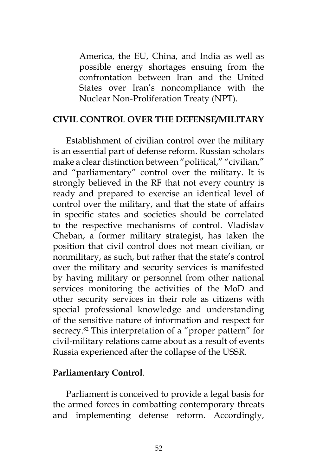America, the EU, China, and India as well as possible energy shortages ensuing from the confrontation between Iran and the United States over Iran's noncompliance with the Nuclear Non-Proliferation Treaty (NPT).

#### **CIVIL CONTROL OVER THE DEFENSE/MILITARY**

Establishment of civilian control over the military is an essential part of defense reform. Russian scholars make a clear distinction between "political," "civilian," and "parliamentary" control over the military. It is strongly believed in the RF that not every country is ready and prepared to exercise an identical level of control over the military, and that the state of affairs in specific states and societies should be correlated to the respective mechanisms of control. Vladislav Cheban, a former military strategist, has taken the position that civil control does not mean civilian, or nonmilitary, as such, but rather that the state's control over the military and security services is manifested by having military or personnel from other national services monitoring the activities of the MoD and other security services in their role as citizens with special professional knowledge and understanding of the sensitive nature of information and respect for secrecy.<sup>82</sup> This interpretation of a "proper pattern" for civil-military relations came about as a result of events Russia experienced after the collapse of the USSR.

#### **Parliamentary Control**.

Parliament is conceived to provide a legal basis for the armed forces in combatting contemporary threats and implementing defense reform. Accordingly,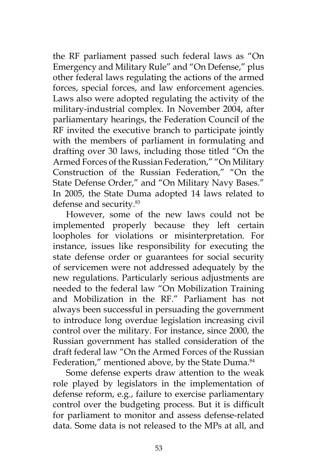the RF parliament passed such federal laws as "On Emergency and Military Rule" and "On Defense," plus other federal laws regulating the actions of the armed forces, special forces, and law enforcement agencies. Laws also were adopted regulating the activity of the military-industrial complex. In November 2004, after parliamentary hearings, the Federation Council of the RF invited the executive branch to participate jointly with the members of parliament in formulating and drafting over 30 laws, including those titled "On the Armed Forces of the Russian Federation," "On Military Construction of the Russian Federation," "On the State Defense Order," and "On Military Navy Bases." In 2005, the State Duma adopted 14 laws related to defense and security.<sup>83</sup>

However, some of the new laws could not be implemented properly because they left certain loopholes for violations or misinterpretation. For instance, issues like responsibility for executing the state defense order or guarantees for social security of servicemen were not addressed adequately by the new regulations. Particularly serious adjustments are needed to the federal law "On Mobilization Training and Mobilization in the RF." Parliament has not always been successful in persuading the government to introduce long overdue legislation increasing civil control over the military. For instance, since 2000, the Russian government has stalled consideration of the draft federal law "On the Armed Forces of the Russian Federation," mentioned above, by the State Duma.<sup>84</sup>

Some defense experts draw attention to the weak role played by legislators in the implementation of defense reform, e.g., failure to exercise parliamentary control over the budgeting process. But it is difficult for parliament to monitor and assess defense-related data. Some data is not released to the MPs at all, and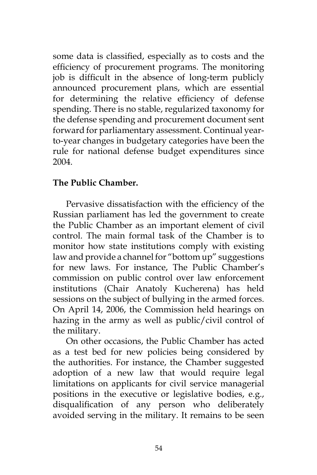some data is classified, especially as to costs and the efficiency of procurement programs. The monitoring job is difficult in the absence of long-term publicly announced procurement plans, which are essential for determining the relative efficiency of defense spending. There is no stable, regularized taxonomy for the defense spending and procurement document sent forward for parliamentary assessment. Continual yearto-year changes in budgetary categories have been the rule for national defense budget expenditures since 2004.

# **The Public Chamber.**

Pervasive dissatisfaction with the efficiency of the Russian parliament has led the government to create the Public Chamber as an important element of civil control. The main formal task of the Chamber is to monitor how state institutions comply with existing law and provide a channel for "bottom up" suggestions for new laws. For instance, The Public Chamber's commission on public control over law enforcement institutions (Chair Anatoly Kucherena) has held sessions on the subject of bullying in the armed forces. On April 14, 2006, the Commission held hearings on hazing in the army as well as public/civil control of the military.

On other occasions, the Public Chamber has acted as a test bed for new policies being considered by the authorities. For instance, the Chamber suggested adoption of a new law that would require legal limitations on applicants for civil service managerial positions in the executive or legislative bodies, e.g., disqualification of any person who deliberately avoided serving in the military. It remains to be seen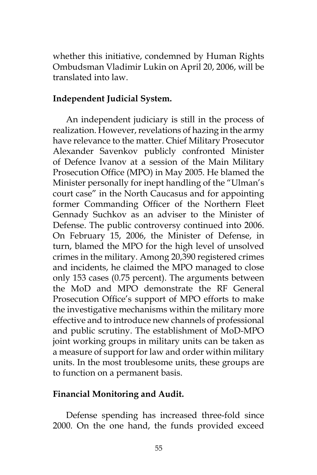whether this initiative, condemned by Human Rights Ombudsman Vladimir Lukin on April 20, 2006, will be translated into law.

## **Independent Judicial System.**

An independent judiciary is still in the process of realization. However, revelations of hazing in the army have relevance to the matter. Chief Military Prosecutor Alexander Savenkov publicly confronted Minister of Defence Ivanov at a session of the Main Military Prosecution Office (MPO) in May 2005. He blamed the Minister personally for inept handling of the "Ulman's court case" in the North Caucasus and for appointing former Commanding Officer of the Northern Fleet Gennady Suchkov as an adviser to the Minister of Defense. The public controversy continued into 2006. On February 15, 2006, the Minister of Defense, in turn, blamed the MPO for the high level of unsolved crimes in the military. Among 20,390 registered crimes and incidents, he claimed the MPO managed to close only 153 cases (0.75 percent). The arguments between the MoD and MPO demonstrate the RF General Prosecution Office's support of MPO efforts to make the investigative mechanisms within the military more effective and to introduce new channels of professional and public scrutiny. The establishment of MoD-MPO joint working groups in military units can be taken as a measure of support for law and order within military units. In the most troublesome units, these groups are to function on a permanent basis.

# **Financial Monitoring and Audit.**

Defense spending has increased three-fold since 2000. On the one hand, the funds provided exceed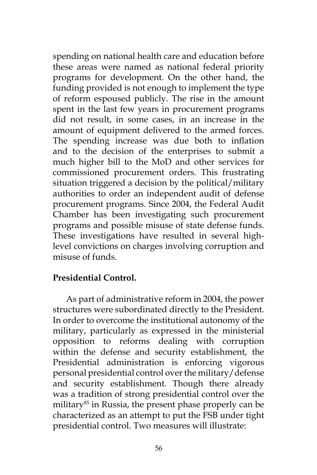spending on national health care and education before these areas were named as national federal priority programs for development. On the other hand, the funding provided is not enough to implement the type of reform espoused publicly. The rise in the amount spent in the last few years in procurement programs did not result, in some cases, in an increase in the amount of equipment delivered to the armed forces. The spending increase was due both to inflation and to the decision of the enterprises to submit a much higher bill to the MoD and other services for commissioned procurement orders. This frustrating situation triggered a decision by the political/military authorities to order an independent audit of defense procurement programs. Since 2004, the Federal Audit Chamber has been investigating such procurement programs and possible misuse of state defense funds. These investigations have resulted in several highlevel convictions on charges involving corruption and misuse of funds.

## **Presidential Control.**

As part of administrative reform in 2004, the power structures were subordinated directly to the President. In order to overcome the institutional autonomy of the military, particularly as expressed in the ministerial opposition to reforms dealing with corruption within the defense and security establishment, the Presidential administration is enforcing vigorous personal presidential control over the military/defense and security establishment. Though there already was a tradition of strong presidential control over the military<sup>85</sup> in Russia, the present phase properly can be characterized as an attempt to put the FSB under tight presidential control. Two measures will illustrate: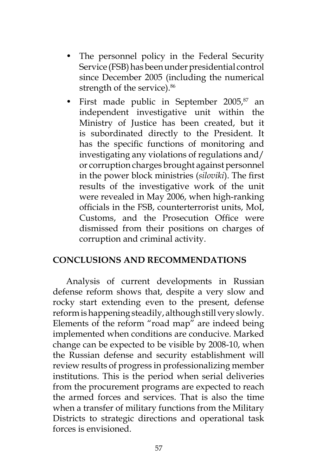- The personnel policy in the Federal Security Service (FSB) has been under presidential control since December 2005 (including the numerical strength of the service).<sup>86</sup>
- First made public in September  $2005$ ,<sup>87</sup> an independent investigative unit within the Ministry of Justice has been created, but it is subordinated directly to the President. It has the specific functions of monitoring and investigating any violations of regulations and/ or corruption charges brought against personnel in the power block ministries (*siloviki*). The first results of the investigative work of the unit were revealed in May 2006, when high-ranking officials in the FSB, counterterrorist units, MoI, Customs, and the Prosecution Office were dismissed from their positions on charges of corruption and criminal activity.

## **CONCLUSIONS AND RECOMMENDATIONS**

Analysis of current developments in Russian defense reform shows that, despite a very slow and rocky start extending even to the present, defense reform is happening steadily, although still very slowly. Elements of the reform "road map" are indeed being implemented when conditions are conducive. Marked change can be expected to be visible by 2008-10, when the Russian defense and security establishment will review results of progress in professionalizing member institutions. This is the period when serial deliveries from the procurement programs are expected to reach the armed forces and services. That is also the time when a transfer of military functions from the Military Districts to strategic directions and operational task forces is envisioned.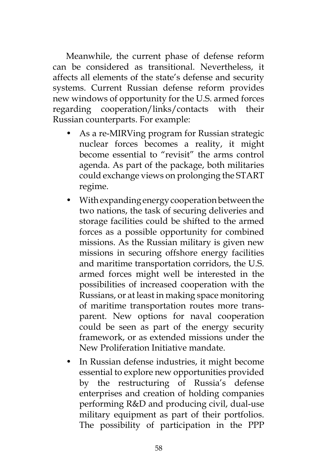Meanwhile, the current phase of defense reform can be considered as transitional. Nevertheless, it affects all elements of the state's defense and security systems. Current Russian defense reform provides new windows of opportunity for the U.S. armed forces regarding cooperation/links/contacts with their Russian counterparts. For example:

- As a re-MIRVing program for Russian strategic nuclear forces becomes a reality, it might become essential to "revisit" the arms control agenda. As part of the package, both militaries could exchange views on prolonging the START regime.
- With expanding energy cooperation between the two nations, the task of securing deliveries and storage facilities could be shifted to the armed forces as a possible opportunity for combined missions. As the Russian military is given new missions in securing offshore energy facilities and maritime transportation corridors, the U.S. armed forces might well be interested in the possibilities of increased cooperation with the Russians, or at least in making space monitoring of maritime transportation routes more transparent. New options for naval cooperation could be seen as part of the energy security framework, or as extended missions under the New Proliferation Initiative mandate.
- In Russian defense industries, it might become essential to explore new opportunities provided by the restructuring of Russia's defense enterprises and creation of holding companies performing R&D and producing civil, dual-use military equipment as part of their portfolios. The possibility of participation in the PPP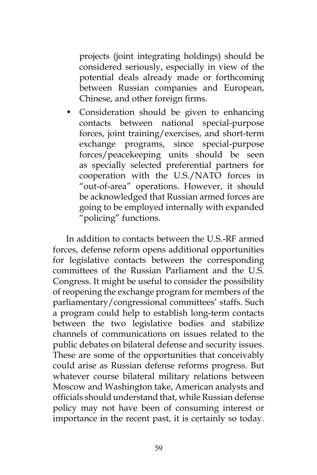projects (joint integrating holdings) should be considered seriously, especially in view of the potential deals already made or forthcoming between Russian companies and European, Chinese, and other foreign firms.

• Consideration should be given to enhancing contacts between national special-purpose forces, joint training/exercises, and short-term exchange programs, since special-purpose forces/peacekeeping units should be seen as specially selected preferential partners for cooperation with the U.S./NATO forces in "out-of-area" operations. However, it should be acknowledged that Russian armed forces are going to be employed internally with expanded "policing" functions.

In addition to contacts between the U.S.-RF armed forces, defense reform opens additional opportunities for legislative contacts between the corresponding committees of the Russian Parliament and the U.S. Congress. It might be useful to consider the possibility of reopening the exchange program for members of the parliamentary/congressional committees' staffs. Such a program could help to establish long-term contacts between the two legislative bodies and stabilize channels of communications on issues related to the public debates on bilateral defense and security issues. These are some of the opportunities that conceivably could arise as Russian defense reforms progress. But whatever course bilateral military relations between Moscow and Washington take, American analysts and officials should understand that, while Russian defense policy may not have been of consuming interest or importance in the recent past, it is certainly so today.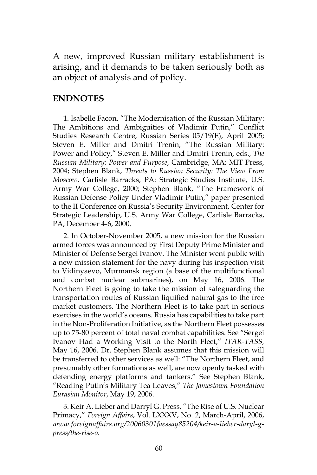A new, improved Russian military establishment is arising, and it demands to be taken seriously both as an object of analysis and of policy.

#### **ENDNOTES**

1. Isabelle Facon, "The Modernisation of the Russian Military: The Ambitions and Ambiguities of Vladimir Putin," Conflict Studies Research Centre, Russian Series 05/19(E), April 2005; Steven E. Miller and Dmitri Trenin, "The Russian Military: Power and Policy," Steven E. Miller and Dmitri Trenin, eds., *The Russian Military: Power and Purpose*, Cambridge, MA: MIT Press, 2004; Stephen Blank, *Threats to Russian Security: The View From Moscow*, Carlisle Barracks, PA: Strategic Studies Institute, U.S. Army War College, 2000; Stephen Blank, "The Framework of Russian Defense Policy Under Vladimir Putin," paper presented to the II Conference on Russia's Security Environment, Center for Strategic Leadership, U.S. Army War College, Carlisle Barracks, PA, December 4-6, 2000.

2. In October-November 2005, a new mission for the Russian armed forces was announced by First Deputy Prime Minister and Minister of Defense Sergei Ivanov. The Minister went public with a new mission statement for the navy during his inspection visit to Vidinyaevo, Murmansk region (a base of the multifunctional and combat nuclear submarines), on May 16, 2006. The Northern Fleet is going to take the mission of safeguarding the transportation routes of Russian liquified natural gas to the free market customers. The Northern Fleet is to take part in serious exercises in the world's oceans. Russia has capabilities to take part in the Non-Proliferation Initiative, as the Northern Fleet possesses up to 75-80 percent of total naval combat capabilities. See "Sergei Ivanov Had a Working Visit to the North Fleet," *ITAR-TASS,* May 16, 2006. Dr. Stephen Blank assumes that this mission will be transferred to other services as well: "The Northern Fleet, and presumably other formations as well, are now openly tasked with defending energy platforms and tankers." See Stephen Blank, "Reading Putin's Military Tea Leaves," *The Jamestown Foundation Eurasian Monitor*, May 19, 2006.

3. Keir A. Lieber and Darryl G. Press, "The Rise of U.S. Nuclear Primacy," *Foreign Affairs*, Vol. LXXXV, No. 2, March-April, 2006, *www.foreignaffairs.org/20060301faessay85204/keir-a-lieber-daryl-gpress/the-rise-o.*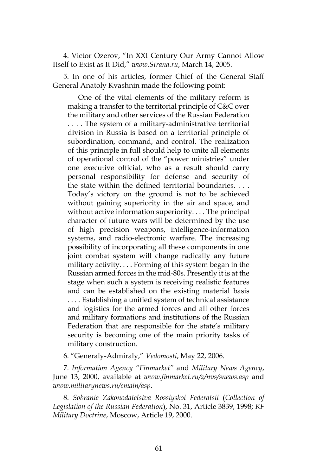4. Victor Ozerov, "In XXI Century Our Army Cannot Allow Itself to Exist as It Did," *www.Strana.ru*, March 14, 2005.

5. In one of his articles, former Chief of the General Staff General Anatoly Kvashnin made the following point:

One of the vital elements of the military reform is making a transfer to the territorial principle of C&C over the military and other services of the Russian Federation . . . . The system of a military-administrative territorial division in Russia is based on a territorial principle of subordination, command, and control. The realization of this principle in full should help to unite all elements of operational control of the "power ministries" under one executive official, who as a result should carry personal responsibility for defense and security of the state within the defined territorial boundaries. . . . Today's victory on the ground is not to be achieved without gaining superiority in the air and space, and without active information superiority. . . . The principal character of future wars will be determined by the use of high precision weapons, intelligence-information systems, and radio-electronic warfare. The increasing possibility of incorporating all these components in one joint combat system will change radically any future military activity. . . . Forming of this system began in the Russian armed forces in the mid-80s. Presently it is at the stage when such a system is receiving realistic features and can be established on the existing material basis . . . . Establishing a unified system of technical assistance and logistics for the armed forces and all other forces and military formations and institutions of the Russian Federation that are responsible for the state's military security is becoming one of the main priority tasks of military construction.

6. "Generaly-Admiraly," *Vedomosti*, May 22, 2006.

7. *Information Agency "Finmarket"* and *Military News Agency*, June 13, 2000, available at *www.finmarket.ru/z/nvs/snews.asp* and *www.militarynews.ru/emain/asp*.

8. *Sobranie Zakonodatelstva Rossiyskoi Federatsii* (*Collection of Legislation of the Russian Federation*), No. 31, Article 3839, 1998; *RF Military Doctrine*, Moscow, Article 19, 2000.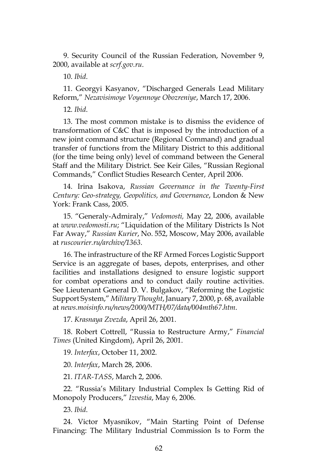9. Security Council of the Russian Federation, November 9, 2000, available at *scrf.gov.ru*.

10. *Ibid*.

11. Georgyi Kasyanov, "Discharged Generals Lead Military Reform," *Nezavisimoye Voyennoye Obozreniye*, March 17, 2006.

12. *Ibid*.

13. The most common mistake is to dismiss the evidence of transformation of C&C that is imposed by the introduction of a new joint command structure (Regional Command) and gradual transfer of functions from the Military District to this additional (for the time being only) level of command between the General Staff and the Military District. See Keir Giles, "Russian Regional Commands," Conflict Studies Research Center, April 2006.

14. Irina Isakova, *Russian Governance in the Twenty-First Century: Geo-strategy, Geopolitics, and Governance*, London & New York: Frank Cass, 2005.

15. "Generaly-Admiraly," *Vedomosti,* May 22, 2006, available at *www.vedomosti.ru*; "Liquidation of the Military Districts Is Not Far Away," *Russian Kurier*, No. 552, Moscow, May 2006, available at *ruscourier.ru/archive/1363*.

16. The infrastructure of the RF Armed Forces Logistic Support Service is an aggregate of bases, depots, enterprises, and other facilities and installations designed to ensure logistic support for combat operations and to conduct daily routine activities. See Lieutenant General D. V. Bulgakov, "Reforming the Logistic Support System," *Military Thought*, January 7, 2000, p. 68, available at *news.moisinfo.ru/news/2000/MTH/07/data/004mth67.htm*.

17. *Krasnaya Zvezda*, April 26, 2001.

18. Robert Cottrell, "Russia to Restructure Army," *Financial Times* (United Kingdom), April 26, 2001.

19. *Interfax*, October 11, 2002.

20. *Interfax*, March 28, 2006.

21. *ITAR-TASS*, March 2, 2006.

22. "Russia's Military Industrial Complex Is Getting Rid of Monopoly Producers," *Izvestia*, May 6, 2006.

23. *Ibid*.

24. Victor Myasnikov, "Main Starting Point of Defense Financing: The Military Industrial Commission Is to Form the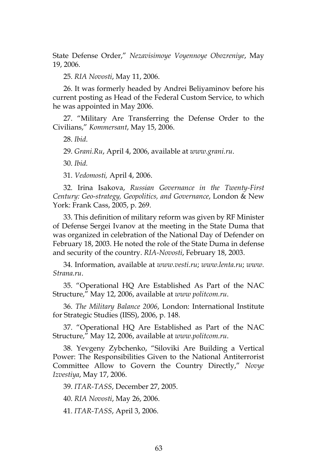State Defense Order," *Nezavisimoye Voyennoye Obozreniye*, May 19, 2006.

25. *RIA Novosti*, May 11, 2006.

26. It was formerly headed by Andrei Beliyaminov before his current posting as Head of the Federal Custom Service, to which he was appointed in May 2006.

27. "Military Are Transferring the Defense Order to the Civilians," *Kommersant*, May 15, 2006.

28. *Ibid*.

29. *Grani.Ru*, April 4, 2006, available at *www.grani.ru*.

30. *Ibid.*

31. *Vedomosti,* April 4, 2006.

32. Irina Isakova, *Russian Governance in the Twenty-First Century: Geo-strategy, Geopolitics, and Governance*, London & New York: Frank Cass, 2005, p. 269.

33. This definition of military reform was given by RF Minister of Defense Sergei Ivanov at the meeting in the State Duma that was organized in celebration of the National Day of Defender on February 18, 2003. He noted the role of the State Duma in defense and security of the country. *RIA-Novosti*, February 18, 2003.

34. Information, available at *www.vesti.ru*; *www.lenta.ru*; *www. Strana.ru*.

35. "Operational HQ Are Established As Part of the NAC Structure," May 12, 2006, available at *www politcom.ru*.

36. *The Military Balance 2006*, London: International Institute for Strategic Studies (IISS), 2006, p. 148.

37. "Operational HQ Are Established as Part of the NAC Structure," May 12, 2006, available at *www.politcom.ru*.

38. Yevgeny Zybchenko, "Siloviki Are Building a Vertical Power: The Responsibilities Given to the National Antiterrorist Committee Allow to Govern the Country Directly," *Novye Izvestiya*, May 17, 2006.

39. *ITAR-TASS*, December 27, 2005.

40. *RIA Novosti*, May 26, 2006.

41. *ITAR-TASS*, April 3, 2006.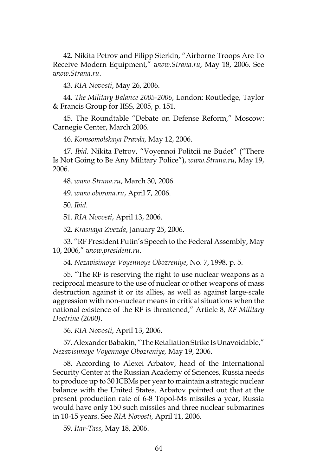42. Nikita Petrov and Filipp Sterkin, "Airborne Troops Are To Receive Modern Equipment," *www.Strana.ru*, May 18, 2006. See *www.Strana.ru*.

43. *RIA Novosti*, May 26, 2006.

44. *The Military Balance 2005-2006*, London: Routledge, Taylor & Francis Group for IISS, 2005, p. 151.

45. The Roundtable "Debate on Defense Reform," Moscow: Carnegie Center, March 2006.

46. *Komsomolskaya Pravda,* May 12, 2006.

47. *Ibid*. Nikita Petrov, "Voyennoi Politcii ne Budet" ("There Is Not Going to Be Any Military Police"), *www.Strana.ru*, May 19, 2006.

48. *www.Strana.ru*, March 30, 2006.

49. *www.oborona.ru*, April 7, 2006.

50. *Ibid*.

51. *RIA Novosti*, April 13, 2006.

52. *Krasnaya Zvezda*, January 25, 2006.

53. "RF President Putin's Speech to the Federal Assembly, May 10, 2006," *www.president.ru*.

54. *Nezavisimoye Voyennoye Obozreniye*, No. 7, 1998, p. 5.

55. "The RF is reserving the right to use nuclear weapons as a reciprocal measure to the use of nuclear or other weapons of mass destruction against it or its allies, as well as against large-scale aggression with non-nuclear means in critical situations when the national existence of the RF is threatened," Article 8, *RF Military Doctrine (2000)*.

56. *RIA Novosti*, April 13, 2006.

57. Alexander Babakin, "The Retaliation Strike Is Unavoidable," *Nezavisimoye Voyennoye Obozreniye,* May 19, 2006.

58. According to Alexei Arbatov, head of the International Security Center at the Russian Academy of Sciences, Russia needs to produce up to 30 ICBMs per year to maintain a strategic nuclear balance with the United States. Arbatov pointed out that at the present production rate of 6-8 Topol-Ms missiles a year, Russia would have only 150 such missiles and three nuclear submarines in 10-15 years. See *RIA Novosti*, April 11, 2006.

59. *Itar-Tass*, May 18, 2006.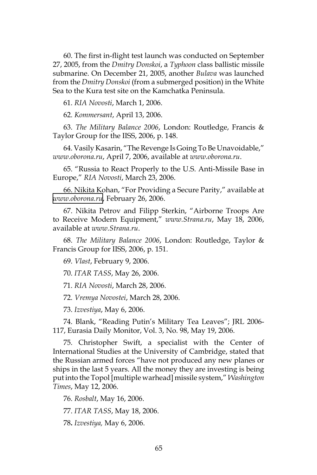60. The first in-flight test launch was conducted on September 27, 2005, from the *Dmitry Donskoi*, a *Typhoon* class ballistic missile submarine. On December 21, 2005, another *Bulava* was launched from the *Dmitry Donskoi* (from a submerged position) in the White Sea to the Kura test site on the Kamchatka Peninsula.

61. *RIA Novosti*, March 1, 2006.

62. *Kommersant*, April 13, 2006.

63. *The Military Balance 2006*, London: Routledge, Francis & Taylor Group for the IISS, 2006, p. 148.

64. Vasily Kasarin, "The Revenge Is Going To Be Unavoidable," *www.oborona.ru*, April 7, 2006, available at *www.oborona.ru*.

65. "Russia to React Properly to the U.S. Anti-Missile Base in Europe," *RIA Novosti*, March 23, 2006.

66. Nikita Kohan, "For Providing a Secure Parity," available at *[www.oborona.ru]( http://www.oborona.ru )*, February 26, 2006.

67. Nikita Petrov and Filipp Sterkin, "Airborne Troops Are to Receive Modern Equipment," *www.Strana.ru*, May 18, 2006, available at *www.Strana.ru*.

68. *The Military Balance 2006*, London: Routledge, Taylor & Francis Group for IISS, 2006, p. 151.

69. *Vlast*, February 9, 2006.

70. *ITAR TASS*, May 26, 2006.

71. *RIA Novosti*, March 28, 2006.

72. *Vremya Novostei*, March 28, 2006.

73. *Izvestiya*, May 6, 2006.

74. Blank, "Reading Putin's Military Tea Leaves"; JRL 2006- 117, Eurasia Daily Monitor, Vol. 3, No. 98, May 19, 2006.

75. Christopher Swift, a specialist with the Center of International Studies at the University of Cambridge, stated that the Russian armed forces "have not produced any new planes or ships in the last 5 years. All the money they are investing is being put into the Topol [multiple warhead] missile system," *Washington Times*, May 12, 2006.

76. *Rosbalt*, May 16, 2006.

77. *ITAR TASS*, May 18, 2006.

78**.** *Izvestiya,* May 6, 2006.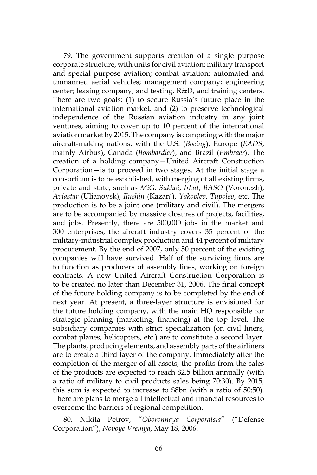79. The government supports creation of a single purpose corporate structure, with units for civil aviation; military transport and special purpose aviation; combat aviation; automated and unmanned aerial vehicles; management company; engineering center; leasing company; and testing, R&D, and training centers. There are two goals: (1) to secure Russia's future place in the international aviation market, and (2) to preserve technological independence of the Russian aviation industry in any joint ventures, aiming to cover up to 10 percent of the international aviation market by 2015. The company is competing with the major aircraft-making nations: with the U.S. (*Boeing*), Europe (*EADS*, mainly Airbus), Canada (*Bombardier*), and Brazil (*Embraer*). The creation of a holding company—United Aircraft Construction Corporation—is to proceed in two stages. At the initial stage a consortium is to be established, with merging of all existing firms, private and state, such as *MiG*, *Sukhoi*, *Irkut*, *BASO* (Voronezh), *Aviastar* (Ulianovsk), *Ilushin* (Kazan'), *Yakovlev*, *Tupolev*, etc. The production is to be a joint one (military and civil). The mergers are to be accompanied by massive closures of projects, facilities, and jobs. Presently, there are 500,000 jobs in the market and 300 enterprises; the aircraft industry covers 35 percent of the military-industrial complex production and 44 percent of military procurement. By the end of 2007, only 50 percent of the existing companies will have survived. Half of the surviving firms are to function as producers of assembly lines, working on foreign contracts. A new United Aircraft Construction Corporation is to be created no later than December 31, 2006. The final concept of the future holding company is to be completed by the end of next year. At present, a three-layer structure is envisioned for the future holding company, with the main HQ responsible for strategic planning (marketing, financing) at the top level. The subsidiary companies with strict specialization (on civil liners, combat planes, helicopters, etc.) are to constitute a second layer. The plants, producing elements, and assembly parts of the airliners are to create a third layer of the company. Immediately after the completion of the merger of all assets, the profits from the sales of the products are expected to reach \$2.5 billion annually (with a ratio of military to civil products sales being 70:30). By 2015, this sum is expected to increase to \$8bn (with a ratio of 50:50). There are plans to merge all intellectual and financial resources to overcome the barriers of regional competition.

80. Nikita Petrov, "*Oboronnaya Corporatsia*" ("Defense Corporation"), *Novoye Vremya*, May 18, 2006.